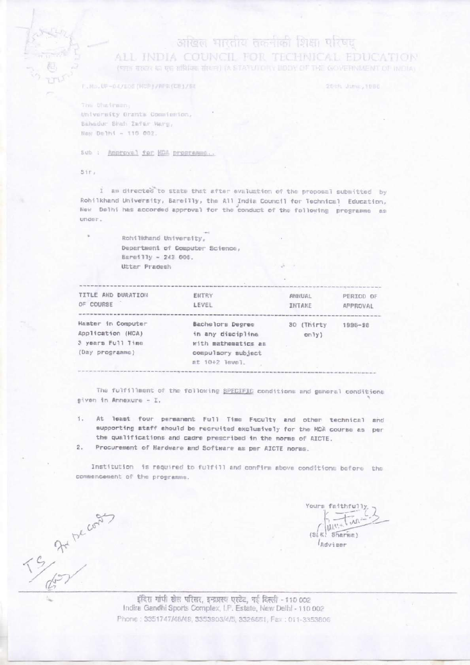## अखिल भारतीय तकनीकी शिक्षा परिषद ALL INDIA COUNCIL FOR TECHNICAL EDUCATION (TITES REGIONS) THE RIFLIANCE TREFFICIOUS AND LOT THE GOVERNMENT OF INDIAL

F.N.S. UP-04/ECE (NCP) / APR (CB)/56

20th June, 1996

The Chairman. University Grants Commission, Bahadur Shah Zafar Marg, New Delhi - 110 002.

Sub : Approval for MGA programma...

Sir.

I am directed to state that after evaluation of the proposal submitted by Rohilkhand University, Bareilly, the All India Council for Technical Education, New Delhi has accorded approval for the conduct of the following programme as under.

> Rohilkhand University, Department of Computer Science, Bare! 11y - 243 008. Utter Pradech

| TITLE AND DURATION | ENTRY               | ANNUAL     | PERIOD OF |
|--------------------|---------------------|------------|-----------|
| OF COURSE          | LEVEL               | INTAKE     | APPROVAL  |
|                    |                     |            |           |
| Master in Computer | Bachelors Degree    | 30 (Thirty | 1996-98   |
| Application (MCA)  | in any discipline   | $on \{y\}$ |           |
| 3 years Full Time  | with mathematics as |            |           |
| (Day programme)    | compulsory subject  |            |           |
|                    | at 10+2 level.      |            |           |

The fulfillment of the following SPECIFIC conditions and general conditions given in Annexure - I.

- 1. At least four permanent Full Time Faculty and other technical and supporting staff should be recruited exclusively for the MCA course as per the qualifications and cadre prescribed in the norms of AICTE.
- $2.$ Procurement of Hardware and Software as per AICTE norms.

Institution is required to fulfill and confirm above conditions before the commencement of the programme.

Yours faithfully Sharme) rei u Adviser

TS got the control इंदिरा गांधी खेल परिसर, इन्द्रग्रस्य एस्टेट, नई दिल्ली - 110 002 Indira Gandhi Sports Complex, I.P. Estate, New Delhi - 110 002 Phone: 3351747/48/49, 3353903/4/5, 3326661, Fax: 011-3353806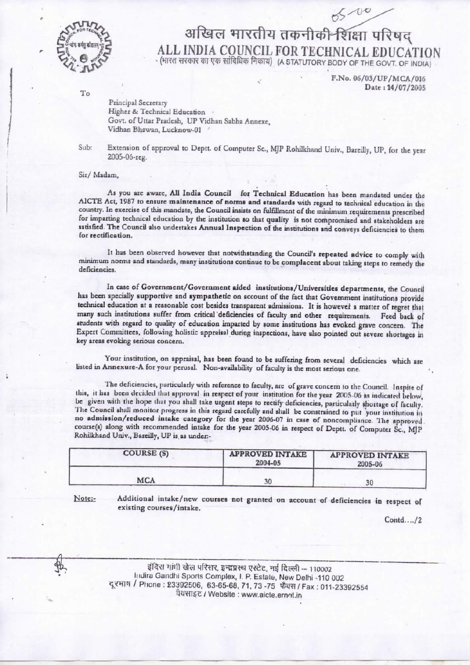

# अखिल भारतीय तकनीकी-शिक्षा परिषद् ALL INDIA COUNCIL FOR TECHNICAL EDUCATION

· (भारत सरकार का एक सांविधिक निकाय) (A STATUTORY BODY OF THE GOVT. OF INDIA)

F.No. 06/03/UP/MCA/016 Date: 14/07/2005

To

Principal Secretary Higher & Technical Education Govt. of Uttar Pradesh, UP Vidhan Sabha Annexe, Vidhan Bhawan, Lucknow-01

Sub:

Extension of approval to Deptt. of Computer Sc., MJP Rohilkhand Univ., Bareilly, UP, for the year 2005-06-гед.

Sir/ Madam,

As you are aware, All India Council for Technical Education has been mandated under the AICTE Act, 1987 to ensure maintenance of norms and standards with regard to technical education in the country. In exercise of this mandate, the Council insists on fulfillment of the minimum requirements prescribed for imparting technical education by the institution so that quality is not compromised and stakeholders are satisfied. The Council also undertakes Annual Inspection of the institutions and conveys deficiencies to them for rectification.

It has been observed however that notwithstanding the Council's repeated advice to comply with minimum norms and standards, many institutions continue to be complacent about taking steps to remedy the deficiencies.

In case of Government/Government aided institutions/Universities departments, the Council has been specially supportive and sympathetic on account of the fact that Government institutions provide technical education at a reasonable cost besides transparent admissions. It is however a matter of regret that many such institutions suffer from critical deficiencies of faculty and other requirements. Feed back of students with regard to quality of education imparted by some institutions has evoked grave concern. The Expert Committees, following holistic appraisel during inspections, have also pointed out severe shortages in key areas evoking serious concern.

Your institution, on appraisal, has been found to be suffering from several deficiencies which are listed in Annexure-A for your perusal. Non-availability of faculty is the most serious one.

The deficiencies, particularly with reference to faculty, are of grave concern to the Council. Inspite of this, it has been decided that approval in respect of your institution for the year 2005-06 as indicated below, be given with the hope that you shall take urgent steps to rectify deficiencies, particularly shortage of faculty. The Council shall monitor progress in this regard carefully and shall be constrained to put your institution in no admission/reduced intake category for the year 2006-07 in case of noncompliance. The approved course(s) along with recommended intake for the year 2005-06 in respect of Deptt. of Computer Sc., MJP Rohilkhand Univ., Bareilly, UP is as under:-

| COURSE (S) | <b>APPROVED INTAKE</b><br>2004-05 | <b>APPROVED INTAKE</b><br>2005-06 |
|------------|-----------------------------------|-----------------------------------|
| MCA        | 30                                |                                   |

Note:-

Additional intake/new courses not granted on account of deficiencies in respect of existing courses/intake.

Contd..../2

इंदिरा गांधी खेल परिसर, इन्द्रप्रस्थ एस्टेट, नई दिल्ली -- 110002 Indira Gandhi Sports Complex, I. P. Estate, New Delhi -110 002 दूरभाष / Phone: 23392506, 63-65-68, 71, 73 -75 फैक्स / Fax: 011-23392554 वैयसाइट / Website : www.aicle.ernnt.in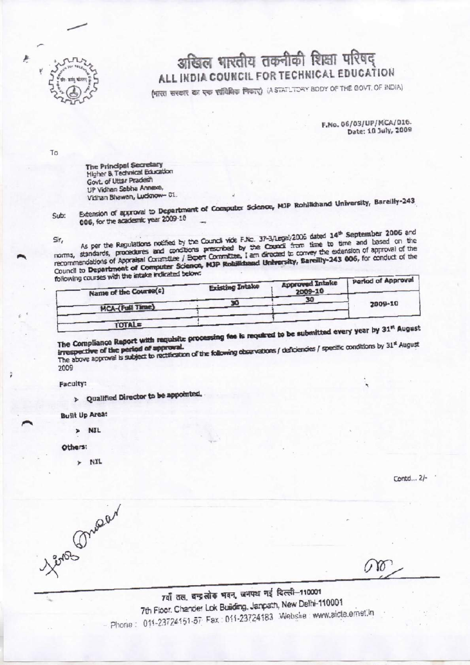

# अखिल भारतीय तकनीकी शिक्षा परिषद ALL INDIA COUNCIL FOR TECHNICAL EDUCATION

(পারে सरकार का एक साबिनिक मिकाए) (ASTATLTORY BODY OF THE GOVT. OF INDIA)

F.No. 06/03/UP/MCA/016. Date: 10 July, 2009

To

The Principal Secretary Higher & Technical Education Govt. of Uttar Pradesh UP Vidhan Sabha Annexe, Vidhan Bhawan, Lucknow- 01.

Extension of approval to Department of Computer Science, MJP Rohillchand University, Barelly-243 Sub: 006, for the academic year 2009-10

As per the Regulations notified by the Council vide F.No. 37-3/Legal/2006 dated 14th September 2006 and norms, standards, procedures and concitions prescribed by the Council from time to time and based on the recommendations of Appraisal Committee / Expert Committee, I am directed to convey the extension of approval of the<br>Council to Department of Commuter Science, MJP Robilidated University, Barellly-243 006, for conduct of th a courses with the intake indicated below:

| <b>IQUOMITÀ</b> <i>Photes Ketter</i><br>Name of the Course(s) | <b>Existing Intake</b> | <b>Approved Intake</b><br>2009-10 | Period of Approval |
|---------------------------------------------------------------|------------------------|-----------------------------------|--------------------|
| MCA-(Full Time)                                               |                        |                                   | 2009-10            |
| <b>TOTAL</b>                                                  |                        |                                   |                    |

The Compliance Report with requisite processing fee is required to be submitted every year by 31<sup>et</sup> August

The above approval is subject to rectification of the following observations / deficiencies / specific conditions by 31st August

2009

ä

**Faculty:** 

> Qualified Director to be appointed.

**Built Up Area:** 

 $>$  NIL

Others:

 $> NIL$ 

Contd... 2/-

18705 Prison

O 10

7वाँ तल. चन्द्रलोक भवन, जनपथ नई दिल्ली-110001 7th Floor. Chander Lok Building, Janpath, New Delhi-110001 - Phone: 011-23724151-57 Fax: 011-23724183 Website www.aicte.emet.in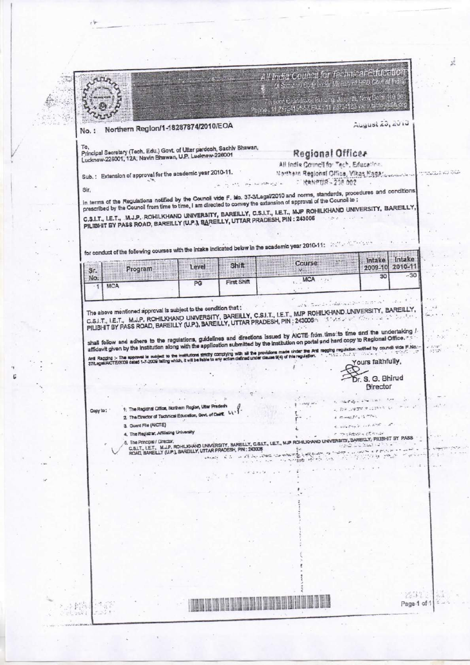|           |                                                                                                                                                                                                                                                                                                                                                                                                                                                                                                                                                                                 |                                                              |                      | All India Council for Technical Education                                                                                                                                                                                                                                           |                                                                                                                                                                                                             |                                                                                                                                                                            |                       |
|-----------|---------------------------------------------------------------------------------------------------------------------------------------------------------------------------------------------------------------------------------------------------------------------------------------------------------------------------------------------------------------------------------------------------------------------------------------------------------------------------------------------------------------------------------------------------------------------------------|--------------------------------------------------------------|----------------------|-------------------------------------------------------------------------------------------------------------------------------------------------------------------------------------------------------------------------------------------------------------------------------------|-------------------------------------------------------------------------------------------------------------------------------------------------------------------------------------------------------------|----------------------------------------------------------------------------------------------------------------------------------------------------------------------------|-----------------------|
|           |                                                                                                                                                                                                                                                                                                                                                                                                                                                                                                                                                                                 |                                                              |                      | (A Sendory Sody ander Mayery of LED Gold of Indian                                                                                                                                                                                                                                  |                                                                                                                                                                                                             |                                                                                                                                                                            |                       |
|           |                                                                                                                                                                                                                                                                                                                                                                                                                                                                                                                                                                                 |                                                              |                      | Tarranc Casadista Pulsing James, Naw Dela (18.90)<br>Phone : 11.73124151-57, 583 : 11.23724183 www.bide.judit.org                                                                                                                                                                   |                                                                                                                                                                                                             |                                                                                                                                                                            |                       |
|           |                                                                                                                                                                                                                                                                                                                                                                                                                                                                                                                                                                                 |                                                              |                      |                                                                                                                                                                                                                                                                                     |                                                                                                                                                                                                             |                                                                                                                                                                            |                       |
|           |                                                                                                                                                                                                                                                                                                                                                                                                                                                                                                                                                                                 |                                                              |                      |                                                                                                                                                                                                                                                                                     |                                                                                                                                                                                                             | August 20, 2010                                                                                                                                                            |                       |
| No. :     | Northern Region/1-18287874/2010/EOA                                                                                                                                                                                                                                                                                                                                                                                                                                                                                                                                             |                                                              |                      |                                                                                                                                                                                                                                                                                     |                                                                                                                                                                                                             |                                                                                                                                                                            |                       |
|           | Principal Secretary (Tech. Edu.) Govt. of Uttar pardesh, Sachiv Bhawan,                                                                                                                                                                                                                                                                                                                                                                                                                                                                                                         |                                                              |                      | Regional Officer                                                                                                                                                                                                                                                                    |                                                                                                                                                                                                             |                                                                                                                                                                            |                       |
|           | Lucknow-226001, 12A, Navin Bhawan, U.P. Lucknow-226001                                                                                                                                                                                                                                                                                                                                                                                                                                                                                                                          |                                                              |                      | All India Council for Tach, Education.                                                                                                                                                                                                                                              |                                                                                                                                                                                                             |                                                                                                                                                                            |                       |
|           | Sub.: Extension of approval for the academic year 2010-11.                                                                                                                                                                                                                                                                                                                                                                                                                                                                                                                      |                                                              |                      |                                                                                                                                                                                                                                                                                     |                                                                                                                                                                                                             |                                                                                                                                                                            |                       |
|           |                                                                                                                                                                                                                                                                                                                                                                                                                                                                                                                                                                                 |                                                              | in any communication | : Kanatia - 208 002                                                                                                                                                                                                                                                                 |                                                                                                                                                                                                             |                                                                                                                                                                            |                       |
|           | In terms of the Regulations notified by the Council vide F. Mo. 37-3/Lagal/2010 and norms, standards, procedures and conditions<br>prescribed by the Council from time to time, I am directed to convey the extension of approval of the Council to :                                                                                                                                                                                                                                                                                                                           |                                                              |                      |                                                                                                                                                                                                                                                                                     |                                                                                                                                                                                                             |                                                                                                                                                                            |                       |
|           | C.S.I.T., LE.T., M.J.P. ROHILKHAND UNIVERSITY, BAREILLY, C.S.I.T., LE.T., MJP ROHILKHAND UNIVERSITY, BAREILLY,                                                                                                                                                                                                                                                                                                                                                                                                                                                                  |                                                              |                      |                                                                                                                                                                                                                                                                                     |                                                                                                                                                                                                             |                                                                                                                                                                            |                       |
|           | PILIBHIT BY PASS ROAD, BAREILLY (U.P.), BAREILLY, UTTAR PRADESH, PIN: 243006                                                                                                                                                                                                                                                                                                                                                                                                                                                                                                    |                                                              |                      |                                                                                                                                                                                                                                                                                     |                                                                                                                                                                                                             |                                                                                                                                                                            |                       |
|           |                                                                                                                                                                                                                                                                                                                                                                                                                                                                                                                                                                                 |                                                              |                      |                                                                                                                                                                                                                                                                                     |                                                                                                                                                                                                             |                                                                                                                                                                            |                       |
|           | for conduct of the following courses with the intake indicated below in the academic year 2010-11: and the following                                                                                                                                                                                                                                                                                                                                                                                                                                                            |                                                              |                      |                                                                                                                                                                                                                                                                                     |                                                                                                                                                                                                             |                                                                                                                                                                            |                       |
|           |                                                                                                                                                                                                                                                                                                                                                                                                                                                                                                                                                                                 |                                                              |                      |                                                                                                                                                                                                                                                                                     |                                                                                                                                                                                                             |                                                                                                                                                                            | Intake                |
| Sr.       | Program                                                                                                                                                                                                                                                                                                                                                                                                                                                                                                                                                                         | Level                                                        | <b>Shift</b>         | Course                                                                                                                                                                                                                                                                              |                                                                                                                                                                                                             | Intake<br>2009-10                                                                                                                                                          | 2010-11               |
| No.       |                                                                                                                                                                                                                                                                                                                                                                                                                                                                                                                                                                                 |                                                              |                      | $-MCA$                                                                                                                                                                                                                                                                              |                                                                                                                                                                                                             | 30                                                                                                                                                                         | $-30$                 |
| $\cdot$ 1 | <b>MCA</b>                                                                                                                                                                                                                                                                                                                                                                                                                                                                                                                                                                      | PG                                                           | <b>First Shift</b>   |                                                                                                                                                                                                                                                                                     |                                                                                                                                                                                                             |                                                                                                                                                                            |                       |
|           |                                                                                                                                                                                                                                                                                                                                                                                                                                                                                                                                                                                 |                                                              |                      |                                                                                                                                                                                                                                                                                     |                                                                                                                                                                                                             |                                                                                                                                                                            |                       |
|           | The above mentioned approval is subject to the condition that :<br>C.S.I.T., I.E.T., M.J.P. ROHILKHAND UNIVERSITY, BAREILLY, C.S.I.T., I.E.T., MJP ROHILKHAND UNIVERSITY, BAREILLY,<br>PILIBHIT BY PASS ROAD, BAREILLY (U.P.), BAREILLY, UTTAR PRADESH, PIN: 243006:5 5 545 2007 1200 1200 1200 1200<br>shall follow and adhere to the regulations, guidelines and directions issued by AICTE from time to time and the undertaking /<br>affidavit given by the Institution along with the application submitted by the institution on portal and hard copy to Regional Office. |                                                              |                      |                                                                                                                                                                                                                                                                                     | $\mathcal{L}(\mathcal{X}) = \mathbb{Z}(\mathcal{A}) \times \mathbb{Z}(\mathcal{A}) \times \mathbb{Z}(\mathcal{A}) \times \mathbb{Z}(\mathcal{A}) \times \mathbb{Z}(\mathcal{A}) \times \mathbb{Z}^{\times}$ |                                                                                                                                                                            |                       |
|           | Anti Ragging :- The sppowel is subject to the institutions strictly complying with all the provisions made under the Anti ragging regulation notified by council vide F.No.<br>37/Legel/AICTE/2009 dated 1-7-2009 failing which,                                                                                                                                                                                                                                                                                                                                                |                                                              |                      |                                                                                                                                                                                                                                                                                     |                                                                                                                                                                                                             |                                                                                                                                                                            | $1 - 1 - 1$<br>3.5025 |
|           |                                                                                                                                                                                                                                                                                                                                                                                                                                                                                                                                                                                 |                                                              |                      |                                                                                                                                                                                                                                                                                     |                                                                                                                                                                                                             | Dr. S. G. Bhirud                                                                                                                                                           |                       |
|           |                                                                                                                                                                                                                                                                                                                                                                                                                                                                                                                                                                                 |                                                              |                      |                                                                                                                                                                                                                                                                                     |                                                                                                                                                                                                             | <b>Birector</b>                                                                                                                                                            |                       |
|           |                                                                                                                                                                                                                                                                                                                                                                                                                                                                                                                                                                                 |                                                              |                      | $1.555$ $100$                                                                                                                                                                                                                                                                       |                                                                                                                                                                                                             |                                                                                                                                                                            | $100 - 100$           |
| Capy to:  | 1: The Regional Office, Northern Region, Uttar Pradesh                                                                                                                                                                                                                                                                                                                                                                                                                                                                                                                          |                                                              |                      |                                                                                                                                                                                                                                                                                     | a minute processor                                                                                                                                                                                          | * the towner without the man is                                                                                                                                            |                       |
|           | 2. The Director of Technical Education, Govt. of Daire, U.1-5<br>3. Guard File (AICTE)                                                                                                                                                                                                                                                                                                                                                                                                                                                                                          |                                                              |                      |                                                                                                                                                                                                                                                                                     |                                                                                                                                                                                                             | $\mathcal{A} = \{ \{ \mathbf{u}_1, \mathbf{v}_2, \mathbf{v}_3, \ldots, \mathbf{v}_n, \mathbf{v}_n \}_{n=1}^{n} \} \cup \{ \mathbf{v}_1, \ldots, \mathbf{v}_n \}_{n=1}^{n}$ |                       |
|           | 4. The Registrar, Affiliating University                                                                                                                                                                                                                                                                                                                                                                                                                                                                                                                                        |                                                              |                      |                                                                                                                                                                                                                                                                                     | complete a change                                                                                                                                                                                           |                                                                                                                                                                            |                       |
|           | 5. The Principal / Director,                                                                                                                                                                                                                                                                                                                                                                                                                                                                                                                                                    | ROAD, BAREILLY (U.P.), BAREILLY, UTTAR PRADESH, PIN : 243008 |                      | C.S.I.T., LE.T., M.J.P. ROHILKHAND UNIVERSITY, BAREILLY, C.S.I.T., LE.T., M.JP ROHILKHAND UNIVERSITY, BAREILLY, PILIBHIT BY PASS                                                                                                                                                    |                                                                                                                                                                                                             |                                                                                                                                                                            |                       |
|           |                                                                                                                                                                                                                                                                                                                                                                                                                                                                                                                                                                                 |                                                              | company to the most  | which is a state that the content of the content of the state of the state of the<br>$\label{eq:2} \alpha_{\rm{eff}} = \alpha_{\rm{eff}} \sigma_{\rm{eff}} \sigma_{\rm{eff}} \sigma_{\rm{eff}}^2 + \alpha_{\rm{eff}}^2 \sigma_{\rm{eff}}^2 + \gamma_{\rm{eff}} \sigma_{\rm{eff}}^2$ |                                                                                                                                                                                                             | <b>Superintendo</b>                                                                                                                                                        | $27.6 - 24.6$         |
|           |                                                                                                                                                                                                                                                                                                                                                                                                                                                                                                                                                                                 |                                                              | $-0.1333374$         |                                                                                                                                                                                                                                                                                     |                                                                                                                                                                                                             |                                                                                                                                                                            |                       |
|           |                                                                                                                                                                                                                                                                                                                                                                                                                                                                                                                                                                                 |                                                              |                      |                                                                                                                                                                                                                                                                                     |                                                                                                                                                                                                             |                                                                                                                                                                            |                       |
|           |                                                                                                                                                                                                                                                                                                                                                                                                                                                                                                                                                                                 |                                                              |                      |                                                                                                                                                                                                                                                                                     |                                                                                                                                                                                                             |                                                                                                                                                                            |                       |
|           |                                                                                                                                                                                                                                                                                                                                                                                                                                                                                                                                                                                 |                                                              |                      |                                                                                                                                                                                                                                                                                     |                                                                                                                                                                                                             |                                                                                                                                                                            |                       |
|           |                                                                                                                                                                                                                                                                                                                                                                                                                                                                                                                                                                                 |                                                              |                      |                                                                                                                                                                                                                                                                                     |                                                                                                                                                                                                             |                                                                                                                                                                            |                       |
|           |                                                                                                                                                                                                                                                                                                                                                                                                                                                                                                                                                                                 |                                                              |                      |                                                                                                                                                                                                                                                                                     |                                                                                                                                                                                                             |                                                                                                                                                                            |                       |
|           |                                                                                                                                                                                                                                                                                                                                                                                                                                                                                                                                                                                 |                                                              |                      |                                                                                                                                                                                                                                                                                     |                                                                                                                                                                                                             |                                                                                                                                                                            |                       |
|           |                                                                                                                                                                                                                                                                                                                                                                                                                                                                                                                                                                                 |                                                              |                      |                                                                                                                                                                                                                                                                                     |                                                                                                                                                                                                             |                                                                                                                                                                            |                       |
|           |                                                                                                                                                                                                                                                                                                                                                                                                                                                                                                                                                                                 |                                                              |                      |                                                                                                                                                                                                                                                                                     |                                                                                                                                                                                                             |                                                                                                                                                                            |                       |
|           |                                                                                                                                                                                                                                                                                                                                                                                                                                                                                                                                                                                 |                                                              |                      |                                                                                                                                                                                                                                                                                     |                                                                                                                                                                                                             |                                                                                                                                                                            |                       |
|           |                                                                                                                                                                                                                                                                                                                                                                                                                                                                                                                                                                                 |                                                              |                      |                                                                                                                                                                                                                                                                                     |                                                                                                                                                                                                             |                                                                                                                                                                            |                       |

i,

 $\mathcal{O}(\mathbb{R}^3)$ 

 $\epsilon$  %

 $\frac{4}{3}$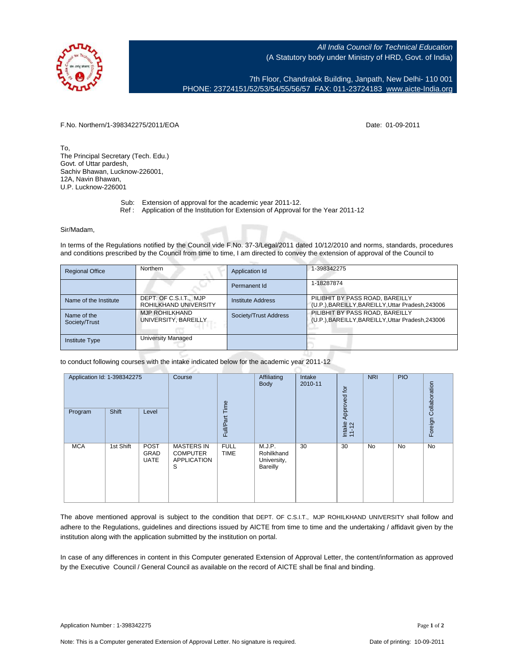

7th Floor, Chandralok Building, Janpath, New Delhi- 110 001 PHONE: 23724151/52/53/54/55/56/57 FAX: 011-23724183 www.aicte-India.org

F.No. Northern/1-398342275/2011/EOA Date: 01-09-2011

To, The Principal Secretary (Tech. Edu.) Govt. of Uttar pardesh, Sachiv Bhawan, Lucknow-226001, 12A, Navin Bhawan, U.P. Lucknow-226001

- Sub: Extension of approval for the academic year 2011-12.
- Ref : Application of the Institution for Extension of Approval for the Year 2011-12

Sir/Madam,

In terms of the Regulations notified by the Council vide F.No. 37-3/Legal/2011 dated 10/12/2010 and norms, standards, procedures and conditions prescribed by the Council from time to time, I am directed to convey the extension of approval of the Council to

| <b>Regional Office</b>       | Northern                                        | Application Id        | 1-398342275                                                                          |
|------------------------------|-------------------------------------------------|-----------------------|--------------------------------------------------------------------------------------|
|                              |                                                 | Permanent Id          | 1-18287874                                                                           |
| Name of the Institute        | DEPT. OF C.S.I.T., MJP<br>ROHILKHAND UNIVERSITY | Institute Address     | PILIBHIT BY PASS ROAD, BAREILLY<br>(U.P.), BAREILLY, BAREILLY, Uttar Pradesh, 243006 |
| Name of the<br>Society/Trust | <b>MJP ROHILKHAND</b><br>UNIVERSITY, BAREILLY   | Society/Trust Address | PILIBHIT BY PASS ROAD, BAREILLY<br>(U.P.), BAREILLY, BAREILLY, Uttar Pradesh, 243006 |
| <b>Institute Type</b>        | <b>University Managed</b>                       |                       |                                                                                      |

to conduct following courses with the intake indicated below for the academic year 2011-12

| Application Id: 1-398342275 |           |                                           | Course                                                          |                            | Affiliating<br><b>Body</b>                      | Intake<br>2010-11 | Approved for    | <b>NRI</b> | <b>PIO</b> | Collaboration |
|-----------------------------|-----------|-------------------------------------------|-----------------------------------------------------------------|----------------------------|-------------------------------------------------|-------------------|-----------------|------------|------------|---------------|
| Program                     | Shift     | Level                                     |                                                                 | Time<br><b>Full/Part</b>   |                                                 |                   | Intake<br>11-12 |            |            | Foreign       |
| <b>MCA</b>                  | 1st Shift | <b>POST</b><br><b>GRAD</b><br><b>UATE</b> | <b>MASTERS IN</b><br><b>COMPUTER</b><br><b>APPLICATION</b><br>S | <b>FULL</b><br><b>TIME</b> | M.J.P.<br>Rohilkhand<br>University,<br>Bareilly | 30                | 30              | <b>No</b>  | No         | No            |

The above mentioned approval is subject to the condition that DEPT. OF C.S.I.T., MJP ROHILKHAND UNIVERSITY shall follow and adhere to the Regulations, guidelines and directions issued by AICTE from time to time and the undertaking / affidavit given by the institution along with the application submitted by the institution on portal.

In case of any differences in content in this Computer generated Extension of Approval Letter, the content/information as approved by the Executive Council / General Council as available on the record of AICTE shall be final and binding.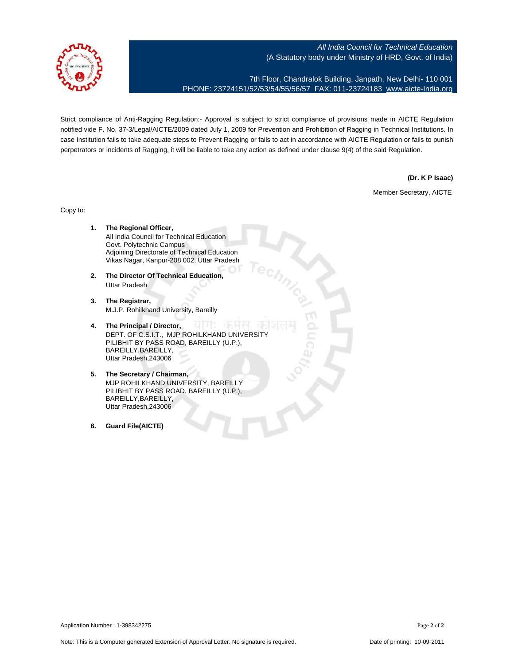

7th Floor, Chandralok Building, Janpath, New Delhi- 110 001 PHONE: 23724151/52/53/54/55/56/57 FAX: 011-23724183 www.aicte-India.org

**Mcgr** 

Strict compliance of Anti-Ragging Regulation:- Approval is subject to strict compliance of provisions made in AICTE Regulation notified vide F. No. 37-3/Legal/AICTE/2009 dated July 1, 2009 for Prevention and Prohibition of Ragging in Technical Institutions. In case Institution fails to take adequate steps to Prevent Ragging or fails to act in accordance with AICTE Regulation or fails to punish perpetrators or incidents of Ragging, it will be liable to take any action as defined under clause 9(4) of the said Regulation.

**(Dr. K P Isaac)**

Member Secretary, AICTE

Copy to:

- **1. The Regional Officer,** All India Council for Technical Education Govt. Polytechnic Campus Adjoining Directorate of Technical Education Vikas Nagar, Kanpur-208 002, Uttar Pradesh
- **2. The Director Of Technical Education,** Uttar Pradesh
- **3. The Registrar,** M.J.P. Rohilkhand University, Bareilly
- **4. The Principal / Director,** DEPT. OF C.S.I.T., MJP ROHILKHAND UNIVERSITY PILIBHIT BY PASS ROAD, BAREILLY (U.P.), BAREILLY,BAREILLY, Uttar Pradesh,243006
- **5. The Secretary / Chairman,** MJP ROHILKHAND UNIVERSITY, BAREILLY PILIBHIT BY PASS ROAD, BAREILLY (U.P.), BAREILLY,BAREILLY, Uttar Pradesh,243006
- **6. Guard File(AICTE)**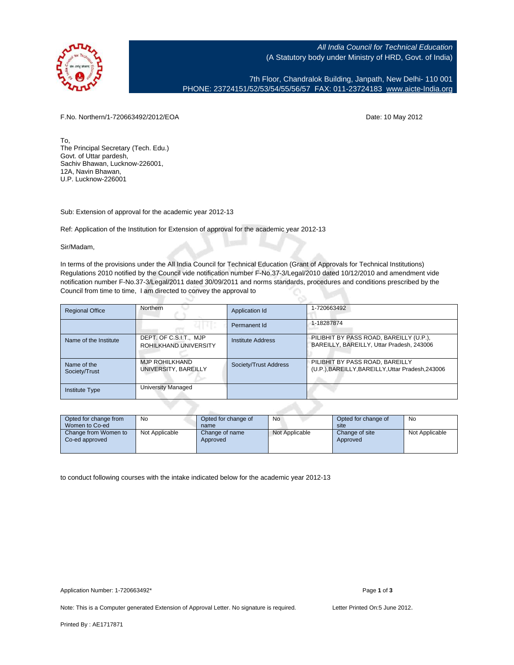

7th Floor, Chandralok Building, Janpath, New Delhi- 110 001 PHONE: 23724151/52/53/54/55/56/57 FAX: 011-23724183 www.aicte-India.org

F.No. Northern/1-720663492/2012/EOA Date: 10 May 2012

To, The Principal Secretary (Tech. Edu.) Govt. of Uttar pardesh, Sachiv Bhawan, Lucknow-226001, 12A, Navin Bhawan, U.P. Lucknow-226001

Sub: Extension of approval for the academic year 2012-13

Ref: Application of the Institution for Extension of approval for the academic year 2012-13

Sir/Madam,

In terms of the provisions under the All India Council for Technical Education (Grant of Approvals for Technical Institutions) Regulations 2010 notified by the Council vide notification number F-No.37-3/Legal/2010 dated 10/12/2010 and amendment vide notification number F-No.37-3/Legal/2011 dated 30/09/2011 and norms standards, procedures and conditions prescribed by the Council from time to time, I am directed to convey the approval to

| <b>Regional Office</b>       | Northern                                        | Application Id           | 1-720663492                                                                          |
|------------------------------|-------------------------------------------------|--------------------------|--------------------------------------------------------------------------------------|
|                              |                                                 | Permanent Id             | 1-18287874                                                                           |
| Name of the Institute        | DEPT. OF C.S.I.T., MJP<br>ROHILKHAND UNIVERSITY | <b>Institute Address</b> | PILIBHIT BY PASS ROAD, BAREILLY (U.P.).<br>BAREILLY, BAREILLY, Uttar Pradesh, 243006 |
| Name of the<br>Society/Trust | <b>MJP ROHILKHAND</b><br>UNIVERSITY, BAREILLY   | Society/Trust Address    | PILIBHIT BY PASS ROAD, BAREILLY<br>(U.P.), BAREILLY, BAREILLY, Uttar Pradesh, 243006 |
| <b>Institute Type</b>        | University Managed                              |                          |                                                                                      |

| Opted for change from<br>Women to Co-ed | No             | Opted for change of<br>name | No             | Opted for change of<br>site | No             |
|-----------------------------------------|----------------|-----------------------------|----------------|-----------------------------|----------------|
| Change from Women to<br>Co-ed approved  | Not Applicable | Change of name<br>Approved  | Not Applicable | Change of site<br>Approved  | Not Applicable |

to conduct following courses with the intake indicated below for the academic year 2012-13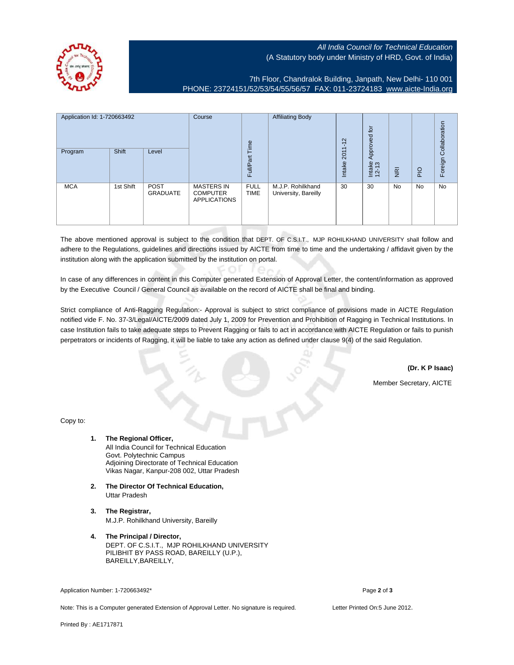

7th Floor, Chandralok Building, Janpath, New Delhi- 110 001 PHONE: 23724151/52/53/54/55/56/57 FAX: 011-23724183 www.aicte-India.org

| Application Id: 1-720663492 |           |                                | Course                                                      | Time                       | <b>Affiliating Body</b>                   | $\sim$<br>7<br>$\overline{\phantom{0}}$ | $\overline{c}$<br>Approved |                |               |                       |
|-----------------------------|-----------|--------------------------------|-------------------------------------------------------------|----------------------------|-------------------------------------------|-----------------------------------------|----------------------------|----------------|---------------|-----------------------|
| Program                     | Shift     | Level                          |                                                             | Full/Part                  |                                           | 201<br>Intake                           | Intake<br>12-13            | $\overline{g}$ | $\frac{1}{2}$ | Foreign Collaboration |
| <b>MCA</b>                  | 1st Shift | <b>POST</b><br><b>GRADUATE</b> | <b>MASTERS IN</b><br><b>COMPUTER</b><br><b>APPLICATIONS</b> | <b>FULL</b><br><b>TIME</b> | M.J.P. Rohilkhand<br>University, Bareilly | 30                                      | 30                         | <b>No</b>      | No            | No                    |

The above mentioned approval is subject to the condition that DEPT. OF C.S.I.T., MJP ROHILKHAND UNIVERSITY shall follow and adhere to the Regulations, guidelines and directions issued by AICTE from time to time and the undertaking / affidavit given by the institution along with the application submitted by the institution on portal.

In case of any differences in content in this Computer generated Extension of Approval Letter, the content/information as approved by the Executive Council / General Council as available on the record of AICTE shall be final and binding.

l en

Strict compliance of Anti-Ragging Regulation:- Approval is subject to strict compliance of provisions made in AICTE Regulation notified vide F. No. 37-3/Legal/AICTE/2009 dated July 1, 2009 for Prevention and Prohibition of Ragging in Technical Institutions. In case Institution fails to take adequate steps to Prevent Ragging or fails to act in accordance with AICTE Regulation or fails to punish perpetrators or incidents of Ragging, it will be liable to take any action as defined under clause 9(4) of the said Regulation.

**(Dr. K P Isaac)**

Member Secretary, AICTE

Copy to:

- **1. The Regional Officer,** All India Council for Technical Education Govt. Polytechnic Campus Adjoining Directorate of Technical Education Vikas Nagar, Kanpur-208 002, Uttar Pradesh
- **2. The Director Of Technical Education,** Uttar Pradesh
- **3. The Registrar,** M.J.P. Rohilkhand University, Bareilly
- **4. The Principal / Director,** DEPT. OF C.S.I.T., MJP ROHILKHAND UNIVERSITY PILIBHIT BY PASS ROAD, BAREILLY (U.P.), BAREILLY,BAREILLY,

Application Number: 1-720663492<sup>\*</sup> Page 2 of 3

Note: This is a Computer generated Extension of Approval Letter. No signature is required. Letter Printed On:5 June 2012.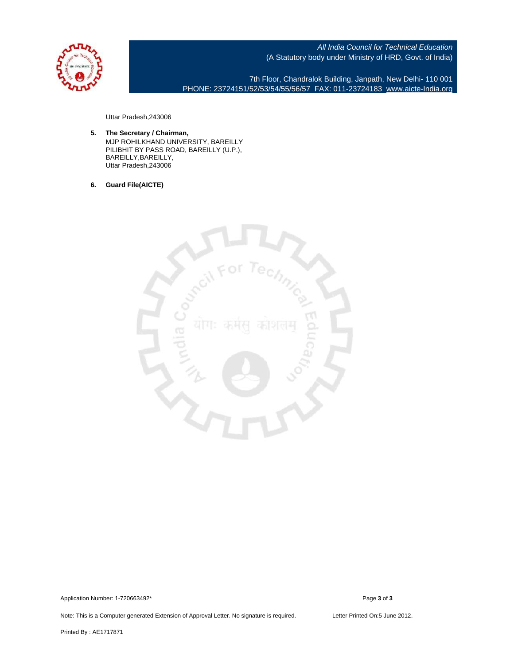

7th Floor, Chandralok Building, Janpath, New Delhi- 110 001 PHONE: 23724151/52/53/54/55/56/57 FAX: 011-23724183 www.aicte-India.org

Uttar Pradesh,243006

- **5. The Secretary / Chairman,** MJP ROHILKHAND UNIVERSITY, BAREILLY PILIBHIT BY PASS ROAD, BAREILLY (U.P.), BAREILLY,BAREILLY, Uttar Pradesh,243006
- **6. Guard File(AICTE)**



Application Number: 1-720663492\* Page **3** of **3**

Note: This is a Computer generated Extension of Approval Letter. No signature is required. Letter Printed On:5 June 2012.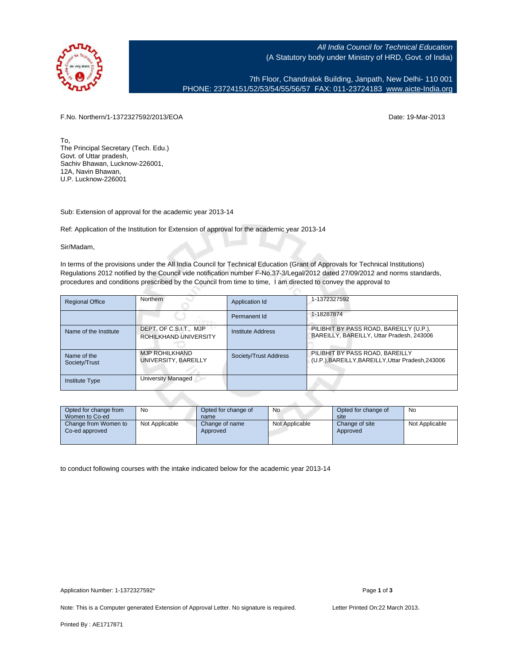

7th Floor, Chandralok Building, Janpath, New Delhi- 110 001 PHONE: 23724151/52/53/54/55/56/57 FAX: 011-23724183 www.aicte-India.org

F.No. Northern/1-1372327592/2013/EOA Date: 19-Mar-2013

To, The Principal Secretary (Tech. Edu.) Govt. of Uttar pradesh, Sachiv Bhawan, Lucknow-226001, 12A, Navin Bhawan, U.P. Lucknow-226001

Sub: Extension of approval for the academic year 2013-14

Ref: Application of the Institution for Extension of approval for the academic year 2013-14

Sir/Madam,

In terms of the provisions under the All India Council for Technical Education (Grant of Approvals for Technical Institutions) Regulations 2012 notified by the Council vide notification number F-No.37-3/Legal/2012 dated 27/09/2012 and norms standards, procedures and conditions prescribed by the Council from time to time, I am directed to convey the approval to

| <b>Regional Office</b>       | <b>Northern</b>                                 | Application Id           | 1-1372327592                                                                         |
|------------------------------|-------------------------------------------------|--------------------------|--------------------------------------------------------------------------------------|
|                              |                                                 | Permanent Id             | 1-18287874                                                                           |
| Name of the Institute        | DEPT. OF C.S.I.T., MJP<br>ROHILKHAND UNIVERSITY | <b>Institute Address</b> | PILIBHIT BY PASS ROAD, BAREILLY (U.P.).<br>BAREILLY, BAREILLY, Uttar Pradesh, 243006 |
| Name of the<br>Society/Trust | <b>MJP ROHILKHAND</b><br>UNIVERSITY, BAREILLY   | Society/Trust Address    | PILIBHIT BY PASS ROAD, BAREILLY<br>(U.P.), BAREILLY, BAREILLY, Uttar Pradesh, 243006 |
| Institute Type               | University Managed                              |                          |                                                                                      |

| Opted for change from<br>Women to Co-ed | No             | Opted for change of<br>name | <b>No</b>      | Opted for change of<br>site | No             |
|-----------------------------------------|----------------|-----------------------------|----------------|-----------------------------|----------------|
| Change from Women to<br>Co-ed approved  | Not Applicable | Change of name<br>Approved  | Not Applicable | Change of site<br>Approved  | Not Applicable |

to conduct following courses with the intake indicated below for the academic year 2013-14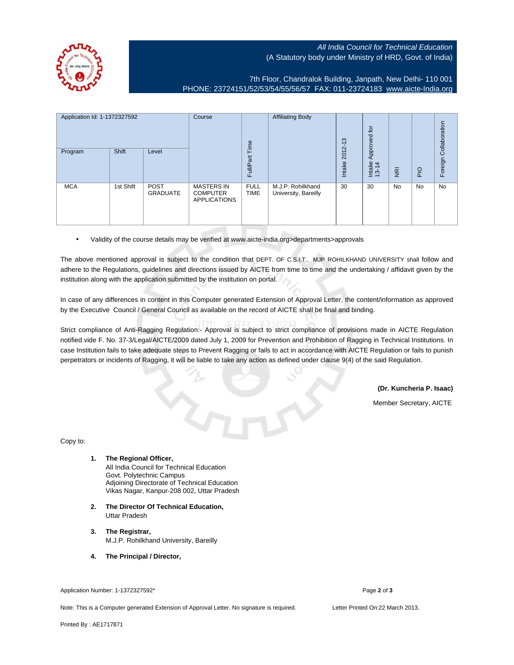

7th Floor, Chandralok Building, Janpath, New Delhi- 110 001 PHONE: 23724151/52/53/54/55/56/57 FAX: 011-23724183 www.aicte-India.org

| Application Id: 1-1372327592 |           |                                | Course                                                      | Time                       | <b>Affiliating Body</b>                   |                | $\overleftarrow{\mathsf{D}}$<br>Approved |                |               |                       |
|------------------------------|-----------|--------------------------------|-------------------------------------------------------------|----------------------------|-------------------------------------------|----------------|------------------------------------------|----------------|---------------|-----------------------|
| Program                      | Shift     | Level                          |                                                             | Full/Part                  |                                           | 2012<br>Intake | Intake<br>13-14                          | $\overline{g}$ | $\frac{1}{2}$ | Foreign Collaboration |
| <b>MCA</b>                   | 1st Shift | <b>POST</b><br><b>GRADUATE</b> | <b>MASTERS IN</b><br><b>COMPUTER</b><br><b>APPLICATIONS</b> | <b>FULL</b><br><b>TIME</b> | M.J.P. Rohilkhand<br>University, Bareilly | 30             | 30                                       | <b>No</b>      | No            | No                    |

• Validity of the course details may be verified at www.aicte-india.org>departments>approvals

The above mentioned approval is subject to the condition that DEPT. OF C.S.I.T., MJP ROHILKHAND UNIVERSITY shall follow and adhere to the Regulations, guidelines and directions issued by AICTE from time to time and the undertaking / affidavit given by the institution along with the application submitted by the institution on portal.

In case of any differences in content in this Computer generated Extension of Approval Letter, the content/information as approved by the Executive Council / General Council as available on the record of AICTE shall be final and binding.

Strict compliance of Anti-Ragging Regulation:- Approval is subject to strict compliance of provisions made in AICTE Regulation notified vide F. No. 37-3/Legal/AICTE/2009 dated July 1, 2009 for Prevention and Prohibition of Ragging in Technical Institutions. In case Institution fails to take adequate steps to Prevent Ragging or fails to act in accordance with AICTE Regulation or fails to punish perpetrators or incidents of Ragging, it will be liable to take any action as defined under clause 9(4) of the said Regulation.

**(Dr. Kuncheria P. Isaac)**

Member Secretary, AICTE

Copy to:

**1. The Regional Officer,**

All India Council for Technical Education Govt. Polytechnic Campus Adjoining Directorate of Technical Education Vikas Nagar, Kanpur-208 002, Uttar Pradesh

- **2. The Director Of Technical Education,** Uttar Pradesh
- **3. The Registrar,** M.J.P. Rohilkhand University, Bareilly
- **4. The Principal / Director,**

Application Number: 1-1372327592\* Page **2** of **3**

Note: This is a Computer generated Extension of Approval Letter. No signature is required. Letter Printed On:22 March 2013.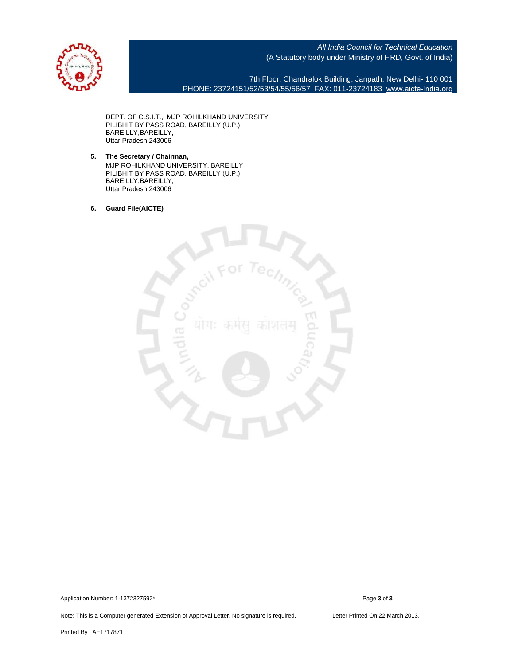

7th Floor, Chandralok Building, Janpath, New Delhi- 110 001 PHONE: 23724151/52/53/54/55/56/57 FAX: 011-23724183 www.aicte-India.org

DEPT. OF C.S.I.T., MJP ROHILKHAND UNIVERSITY PILIBHIT BY PASS ROAD, BAREILLY (U.P.), BAREILLY,BAREILLY, Uttar Pradesh,243006

- **5. The Secretary / Chairman,** MJP ROHILKHAND UNIVERSITY, BAREILLY PILIBHIT BY PASS ROAD, BAREILLY (U.P.), BAREILLY,BAREILLY, Uttar Pradesh,243006
- **6. Guard File(AICTE)**



Application Number: 1-1372327592\* Page **3** of **3**

Note: This is a Computer generated Extension of Approval Letter. No signature is required. Letter Printed On:22 March 2013.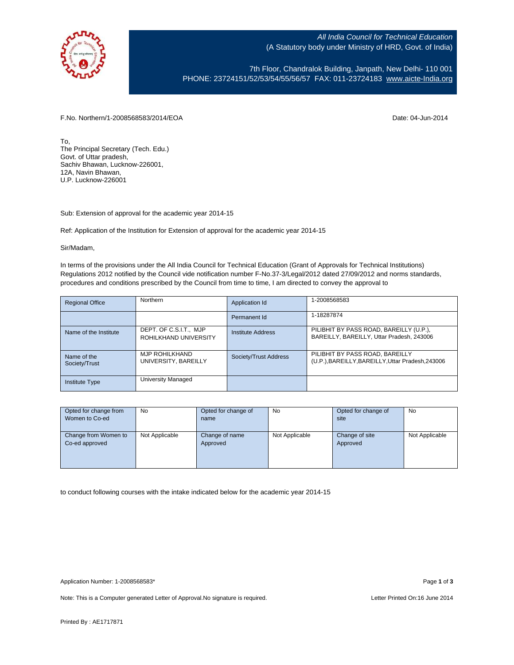

7th Floor, Chandralok Building, Janpath, New Delhi- 110 001 PHONE: 23724151/52/53/54/55/56/57 FAX: 011-23724183 www.aicte-India.org

F.No. Northern/1-2008568583/2014/EOA Date: 04-Jun-2014

To, The Principal Secretary (Tech. Edu.) Govt. of Uttar pradesh, Sachiv Bhawan, Lucknow-226001, 12A, Navin Bhawan, U.P. Lucknow-226001

Sub: Extension of approval for the academic year 2014-15

Ref: Application of the Institution for Extension of approval for the academic year 2014-15

#### Sir/Madam,

In terms of the provisions under the All India Council for Technical Education (Grant of Approvals for Technical Institutions) Regulations 2012 notified by the Council vide notification number F-No.37-3/Legal/2012 dated 27/09/2012 and norms standards, procedures and conditions prescribed by the Council from time to time, I am directed to convey the approval to

| <b>Regional Office</b>       | Northern                                        | Application Id        | 1-2008568583                                                                         |
|------------------------------|-------------------------------------------------|-----------------------|--------------------------------------------------------------------------------------|
|                              |                                                 | Permanent Id          | 1-18287874                                                                           |
| Name of the Institute        | DEPT. OF C.S.I.T., MJP<br>ROHILKHAND UNIVERSITY | Institute Address     | PILIBHIT BY PASS ROAD, BAREILLY (U.P.).<br>BAREILLY, BAREILLY, Uttar Pradesh, 243006 |
| Name of the<br>Society/Trust | <b>MJP ROHILKHAND</b><br>UNIVERSITY, BAREILLY   | Society/Trust Address | PILIBHIT BY PASS ROAD, BAREILLY<br>(U.P.), BAREILLY, BAREILLY, Uttar Pradesh, 243006 |
| <b>Institute Type</b>        | University Managed                              |                       |                                                                                      |

| Opted for change from | <b>No</b>      | Opted for change of | No             | Opted for change of | <b>No</b>      |
|-----------------------|----------------|---------------------|----------------|---------------------|----------------|
| Women to Co-ed        |                | name                |                | site                |                |
|                       |                |                     |                |                     |                |
| Change from Women to  | Not Applicable | Change of name      | Not Applicable | Change of site      | Not Applicable |
| Co-ed approved        |                | Approved            |                | Approved            |                |
|                       |                |                     |                |                     |                |
|                       |                |                     |                |                     |                |
|                       |                |                     |                |                     |                |

to conduct following courses with the intake indicated below for the academic year 2014-15

Note: This is a Computer generated Letter of Approval. No signature is required. Letter Printed On:16 June 2014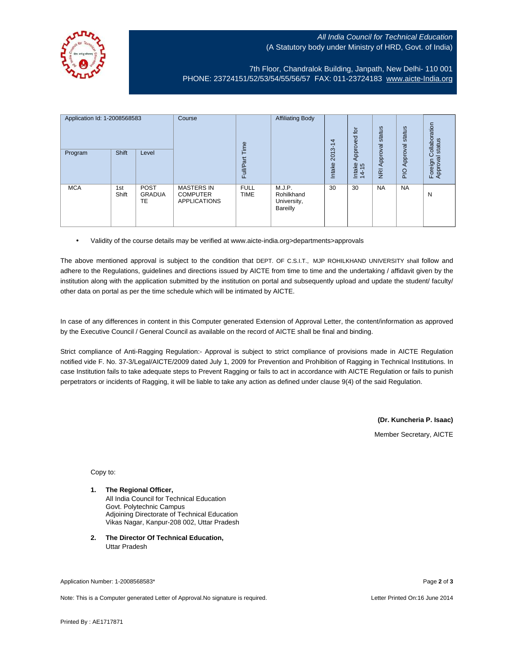

7th Floor, Chandralok Building, Janpath, New Delhi- 110 001 PHONE: 23724151/52/53/54/55/56/57 FAX: 011-23724183 www.aicte-India.org

| Application Id: 1-2008568583<br>Program | Shift        | Level                              | Course                                                      | Time<br>七<br>Full/Par      | <b>Affiliating Body</b>                         | $\overline{ }$<br>ᡪ<br>2013<br>Intake | ʻ6<br>공<br>Approve<br>Intake<br>14-15 | status<br>Approval<br>$\overline{g}$ | status<br>Approval<br><b>PIO</b> | ollaboration<br>status<br>ပ<br>Foreign C<br>Approval |
|-----------------------------------------|--------------|------------------------------------|-------------------------------------------------------------|----------------------------|-------------------------------------------------|---------------------------------------|---------------------------------------|--------------------------------------|----------------------------------|------------------------------------------------------|
| <b>MCA</b>                              | 1st<br>Shift | <b>POST</b><br><b>GRADUA</b><br>TE | <b>MASTERS IN</b><br><b>COMPUTER</b><br><b>APPLICATIONS</b> | <b>FULL</b><br><b>TIME</b> | M.J.P.<br>Rohilkhand<br>University,<br>Bareilly | 30                                    | 30                                    | <b>NA</b>                            | <b>NA</b>                        | N                                                    |

• Validity of the course details may be verified at www.aicte-india.org>departments>approvals

The above mentioned approval is subject to the condition that DEPT. OF C.S.I.T., MJP ROHILKHAND UNIVERSITY shall follow and adhere to the Regulations, guidelines and directions issued by AICTE from time to time and the undertaking / affidavit given by the institution along with the application submitted by the institution on portal and subsequently upload and update the student/ faculty/ other data on portal as per the time schedule which will be intimated by AICTE.

In case of any differences in content in this Computer generated Extension of Approval Letter, the content/information as approved by the Executive Council / General Council as available on the record of AICTE shall be final and binding.

Strict compliance of Anti-Ragging Regulation:- Approval is subject to strict compliance of provisions made in AICTE Regulation notified vide F. No. 37-3/Legal/AICTE/2009 dated July 1, 2009 for Prevention and Prohibition of Ragging in Technical Institutions. In case Institution fails to take adequate steps to Prevent Ragging or fails to act in accordance with AICTE Regulation or fails to punish perpetrators or incidents of Ragging, it will be liable to take any action as defined under clause 9(4) of the said Regulation.

> **(Dr. Kuncheria P. Isaac)** Member Secretary, AICTE

Copy to:

- **1. The Regional Officer,** All India Council for Technical Education Govt. Polytechnic Campus Adjoining Directorate of Technical Education Vikas Nagar, Kanpur-208 002, Uttar Pradesh
- **2. The Director Of Technical Education,** Uttar Pradesh

Application Number: 1-2008568583\* Page **2** of **3**

Note: This is a Computer generated Letter of Approval.No signature is required. Letter According the state of the United On:16 June 2014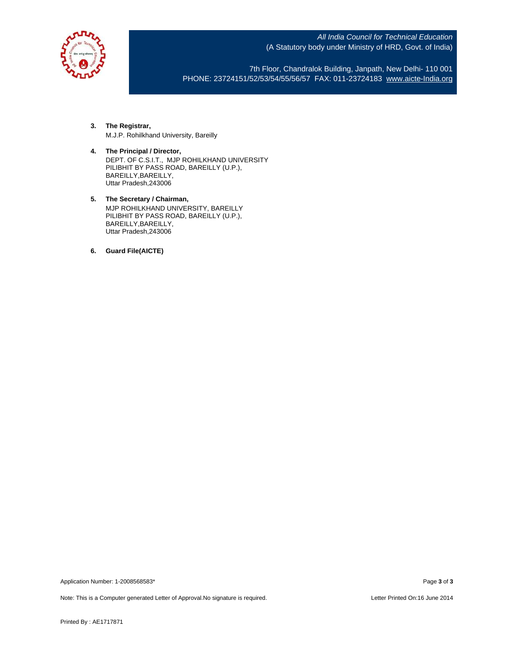

7th Floor, Chandralok Building, Janpath, New Delhi- 110 001 PHONE: 23724151/52/53/54/55/56/57 FAX: 011-23724183 www.aicte-India.org

- **3. The Registrar,** M.J.P. Rohilkhand University, Bareilly
- **4. The Principal / Director,** DEPT. OF C.S.I.T., MJP ROHILKHAND UNIVERSITY PILIBHIT BY PASS ROAD, BAREILLY (U.P.), BAREILLY,BAREILLY, Uttar Pradesh,243006
- **5. The Secretary / Chairman,** MJP ROHILKHAND UNIVERSITY, BAREILLY PILIBHIT BY PASS ROAD, BAREILLY (U.P.), BAREILLY,BAREILLY, Uttar Pradesh,243006
- **6. Guard File(AICTE)**

Note: This is a Computer generated Letter of Approval.No signature is required. Letter Printed On:16 June 2014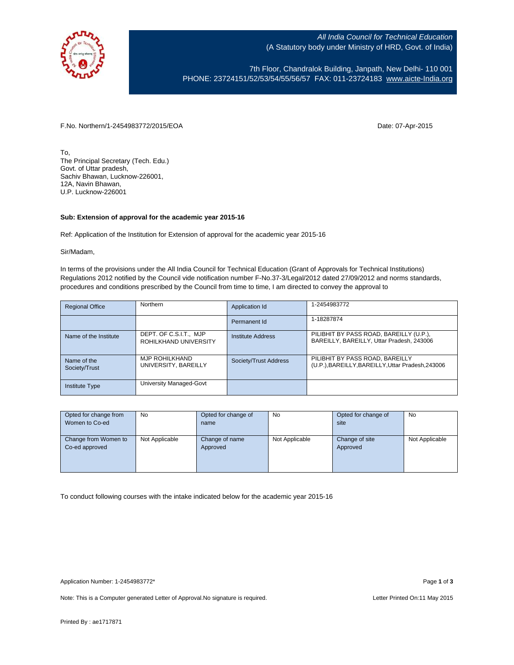

7th Floor, Chandralok Building, Janpath, New Delhi- 110 001 PHONE: 23724151/52/53/54/55/56/57 FAX: 011-23724183 www.aicte-India.org

F.No. Northern/1-2454983772/2015/EOA Date: 07-Apr-2015

To, The Principal Secretary (Tech. Edu.) Govt. of Uttar pradesh, Sachiv Bhawan, Lucknow-226001, 12A, Navin Bhawan, U.P. Lucknow-226001

#### **Sub: Extension of approval for the academic year 2015-16**

Ref: Application of the Institution for Extension of approval for the academic year 2015-16

Sir/Madam,

In terms of the provisions under the All India Council for Technical Education (Grant of Approvals for Technical Institutions) Regulations 2012 notified by the Council vide notification number F-No.37-3/Legal/2012 dated 27/09/2012 and norms standards, procedures and conditions prescribed by the Council from time to time, I am directed to convey the approval to

| <b>Regional Office</b>       | Northern                                        | Application Id           | 1-2454983772                                                                         |
|------------------------------|-------------------------------------------------|--------------------------|--------------------------------------------------------------------------------------|
|                              |                                                 | Permanent Id             | 1-18287874                                                                           |
| Name of the Institute        | DEPT. OF C.S.I.T., MJP<br>ROHILKHAND UNIVERSITY | <b>Institute Address</b> | PILIBHIT BY PASS ROAD, BAREILLY (U.P.).<br>BAREILLY, BAREILLY, Uttar Pradesh, 243006 |
| Name of the<br>Society/Trust | <b>MJP ROHILKHAND</b><br>UNIVERSITY, BAREILLY   | Society/Trust Address    | PILIBHIT BY PASS ROAD, BAREILLY<br>(U.P.), BAREILLY, BAREILLY, Uttar Pradesh, 243006 |
| <b>Institute Type</b>        | University Managed-Govt                         |                          |                                                                                      |

| Opted for change from | <b>No</b>      | Opted for change of | No             | Opted for change of | <b>No</b>      |
|-----------------------|----------------|---------------------|----------------|---------------------|----------------|
| Women to Co-ed        |                | name                |                | site                |                |
|                       |                |                     |                |                     |                |
| Change from Women to  | Not Applicable | Change of name      | Not Applicable | Change of site      | Not Applicable |
| Co-ed approved        |                | Approved            |                | Approved            |                |
|                       |                |                     |                |                     |                |
|                       |                |                     |                |                     |                |
|                       |                |                     |                |                     |                |

To conduct following courses with the intake indicated below for the academic year 2015-16

Note: This is a Computer generated Letter of Approval. No signature is required. Letter Printed On:11 May 2015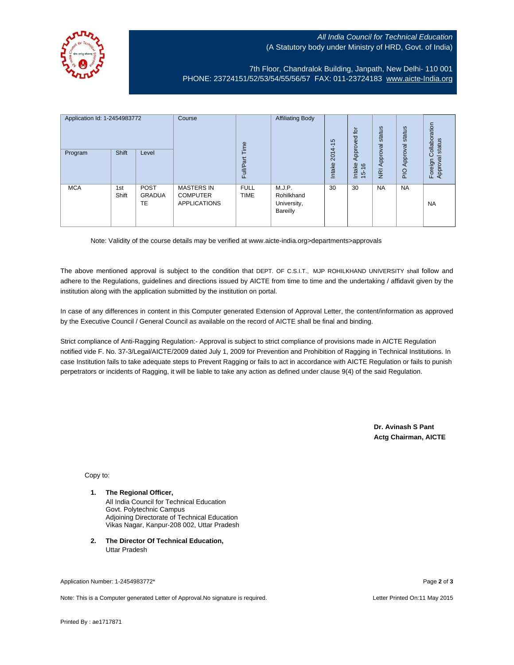

7th Floor, Chandralok Building, Janpath, New Delhi- 110 001 PHONE: 23724151/52/53/54/55/56/57 FAX: 011-23724183 www.aicte-India.org

| Application Id: 1-2454983772<br>Program | Shift        | Level                       | Course                                                      | Time<br><b>Full/Part</b>   |                                                 | S<br>ᡪ<br>$2014 -$<br>Intake | $\overline{5}$<br>Approved<br>Intake<br>$\frac{6}{2}$ | status<br>Approval<br>$\overline{g}$ | status<br>Approval<br>$\frac{1}{2}$ | Collaboration<br>status<br>Approval<br>Foreign |
|-----------------------------------------|--------------|-----------------------------|-------------------------------------------------------------|----------------------------|-------------------------------------------------|------------------------------|-------------------------------------------------------|--------------------------------------|-------------------------------------|------------------------------------------------|
| <b>MCA</b>                              | 1st<br>Shift | <b>POST</b><br>GRADUA<br>TE | <b>MASTERS IN</b><br><b>COMPUTER</b><br><b>APPLICATIONS</b> | <b>FULL</b><br><b>TIME</b> | M.J.P.<br>Rohilkhand<br>University,<br>Bareilly | 30                           | $\frac{1}{2}$<br>30                                   | <b>NA</b>                            | <b>NA</b>                           | <b>NA</b>                                      |

Note: Validity of the course details may be verified at www.aicte-india.org>departments>approvals

The above mentioned approval is subject to the condition that DEPT. OF C.S.I.T., MJP ROHILKHAND UNIVERSITY shall follow and adhere to the Regulations, guidelines and directions issued by AICTE from time to time and the undertaking / affidavit given by the institution along with the application submitted by the institution on portal.

In case of any differences in content in this Computer generated Extension of Approval Letter, the content/information as approved by the Executive Council / General Council as available on the record of AICTE shall be final and binding.

Strict compliance of Anti-Ragging Regulation:- Approval is subject to strict compliance of provisions made in AICTE Regulation notified vide F. No. 37-3/Legal/AICTE/2009 dated July 1, 2009 for Prevention and Prohibition of Ragging in Technical Institutions. In case Institution fails to take adequate steps to Prevent Ragging or fails to act in accordance with AICTE Regulation or fails to punish perpetrators or incidents of Ragging, it will be liable to take any action as defined under clause 9(4) of the said Regulation.

> **Dr. Avinash S Pant Actg Chairman, AICTE**

Copy to:

- **1. The Regional Officer,** All India Council for Technical Education Govt. Polytechnic Campus Adjoining Directorate of Technical Education Vikas Nagar, Kanpur-208 002, Uttar Pradesh
- **2. The Director Of Technical Education,** Uttar Pradesh

Application Number: 1-2454983772\* Page **2** of **3**

Note: This is a Computer generated Letter of Approval.No signature is required. Letter Approversity control May 2015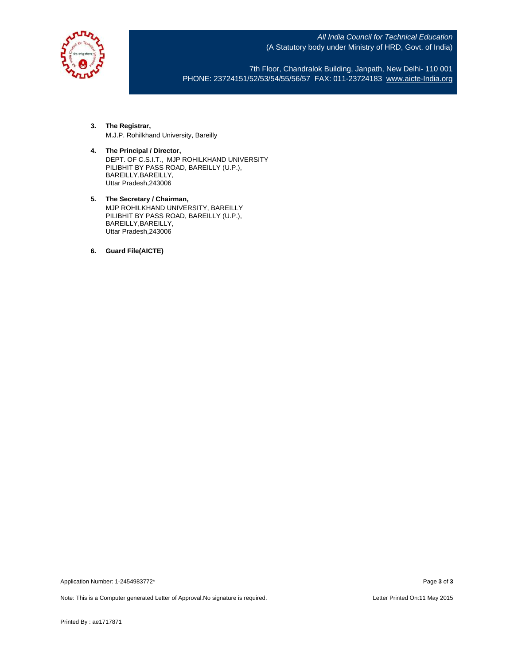

7th Floor, Chandralok Building, Janpath, New Delhi- 110 001 PHONE: 23724151/52/53/54/55/56/57 FAX: 011-23724183 www.aicte-India.org

- **3. The Registrar,** M.J.P. Rohilkhand University, Bareilly
- **4. The Principal / Director,** DEPT. OF C.S.I.T., MJP ROHILKHAND UNIVERSITY PILIBHIT BY PASS ROAD, BAREILLY (U.P.), BAREILLY,BAREILLY, Uttar Pradesh,243006
- **5. The Secretary / Chairman,** MJP ROHILKHAND UNIVERSITY, BAREILLY PILIBHIT BY PASS ROAD, BAREILLY (U.P.), BAREILLY,BAREILLY, Uttar Pradesh,243006
- **6. Guard File(AICTE)**

Note: This is a Computer generated Letter of Approval. No signature is required. Letter Printed On:11 May 2015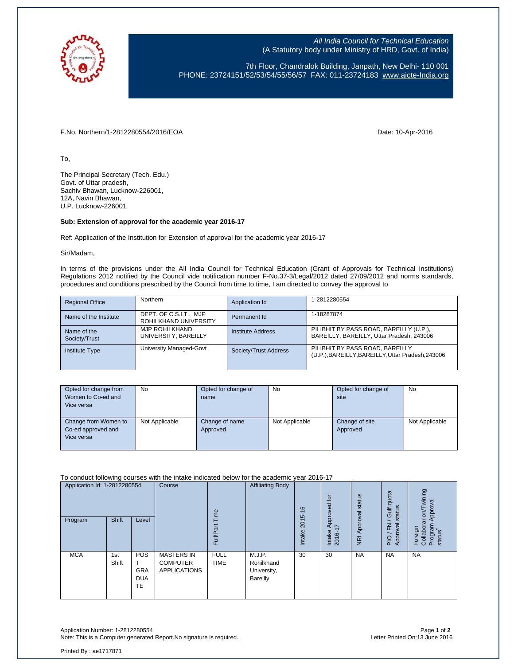

7th Floor, Chandralok Building, Janpath, New Delhi- 110 001 PHONE: 23724151/52/53/54/55/56/57 FAX: 011-23724183 www.aicte-India.org

F.No. Northern/1-2812280554/2016/EOA Date: 10-Apr-2016

To,

The Principal Secretary (Tech. Edu.) Govt. of Uttar pradesh, Sachiv Bhawan, Lucknow-226001, 12A, Navin Bhawan, U.P. Lucknow-226001

### **Sub: Extension of approval for the academic year 2016-17**

Ref: Application of the Institution for Extension of approval for the academic year 2016-17

Sir/Madam,

In terms of the provisions under the All India Council for Technical Education (Grant of Approvals for Technical Institutions) Regulations 2012 notified by the Council vide notification number F-No.37-3/Legal/2012 dated 27/09/2012 and norms standards, procedures and conditions prescribed by the Council from time to time, I am directed to convey the approval to

| <b>Regional Office</b>       | Northern                                        | Application Id        | 1-2812280554                                                                         |
|------------------------------|-------------------------------------------------|-----------------------|--------------------------------------------------------------------------------------|
| Name of the Institute        | DEPT. OF C.S.I.T., MJP<br>ROHILKHAND UNIVERSITY | Permanent Id          | 1-18287874                                                                           |
| Name of the<br>Society/Trust | <b>MJP ROHILKHAND</b><br>UNIVERSITY, BAREILLY   | Institute Address     | PILIBHIT BY PASS ROAD, BAREILLY (U.P.),<br>BAREILLY, BAREILLY, Uttar Pradesh, 243006 |
| <b>Institute Type</b>        | University Managed-Govt                         | Society/Trust Address | PILIBHIT BY PASS ROAD, BAREILLY<br>(U.P.), BAREILLY, BAREILLY, Uttar Pradesh, 243006 |

| Opted for change from<br>Women to Co-ed and<br>Vice versa | No             | Opted for change of<br>name | <b>No</b>      | Opted for change of<br>site | <b>No</b>      |
|-----------------------------------------------------------|----------------|-----------------------------|----------------|-----------------------------|----------------|
| Change from Women to<br>Co-ed approved and<br>Vice versa  | Not Applicable | Change of name<br>Approved  | Not Applicable | Change of site<br>Approved  | Not Applicable |

To conduct following courses with the intake indicated below for the academic year 2016-17

| Application Id: 1-2812280554<br>Program | Shift        | Level                                 | Course                                                      | Time<br>Full/Part          | <b>Affiliating Body</b>                         | $\frac{6}{5}$<br>2015<br><b>Intake</b> | Approved for<br>$\overline{1}$<br>Intake<br>$2016 -$ | status<br>Approval<br>$\overline{R}$ | quota<br>status<br>Gulf<br>roval<br>준<br>Appr<br>PIO | wining<br>Approval<br>r <sub>airion</sub><br>Program<br>status<br>Foreign<br>Collabor |
|-----------------------------------------|--------------|---------------------------------------|-------------------------------------------------------------|----------------------------|-------------------------------------------------|----------------------------------------|------------------------------------------------------|--------------------------------------|------------------------------------------------------|---------------------------------------------------------------------------------------|
| <b>MCA</b>                              | 1st<br>Shift | POS<br><b>GRA</b><br><b>DUA</b><br>TE | <b>MASTERS IN</b><br><b>COMPUTER</b><br><b>APPLICATIONS</b> | <b>FULL</b><br><b>TIME</b> | M.J.P.<br>Rohilkhand<br>University,<br>Bareilly | 30                                     | 30                                                   | <b>NA</b>                            | <b>NA</b>                                            | <b>NA</b>                                                                             |

Application Number: 1-2812280554 Page **1** of **2** Note: This is a Computer generated Report. No signature is required.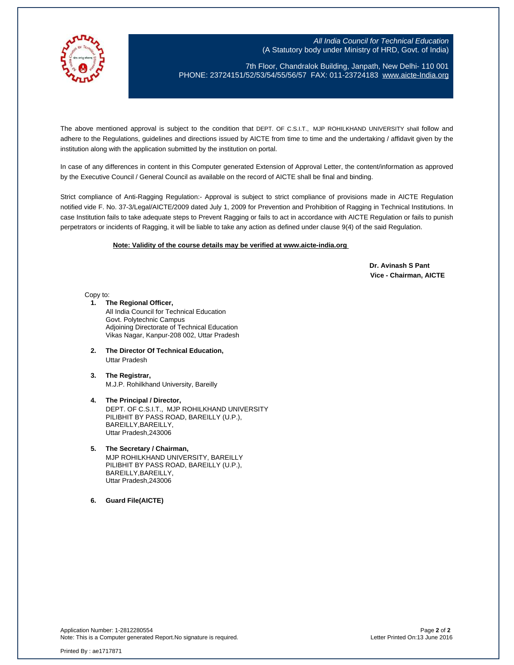

7th Floor, Chandralok Building, Janpath, New Delhi- 110 001 PHONE: 23724151/52/53/54/55/56/57 FAX: 011-23724183 www.aicte-India.org

The above mentioned approval is subject to the condition that DEPT. OF C.S.I.T., MJP ROHILKHAND UNIVERSITY shall follow and adhere to the Regulations, guidelines and directions issued by AICTE from time to time and the undertaking / affidavit given by the institution along with the application submitted by the institution on portal.

In case of any differences in content in this Computer generated Extension of Approval Letter, the content/information as approved by the Executive Council / General Council as available on the record of AICTE shall be final and binding.

Strict compliance of Anti-Ragging Regulation:- Approval is subject to strict compliance of provisions made in AICTE Regulation notified vide F. No. 37-3/Legal/AICTE/2009 dated July 1, 2009 for Prevention and Prohibition of Ragging in Technical Institutions. In case Institution fails to take adequate steps to Prevent Ragging or fails to act in accordance with AICTE Regulation or fails to punish perpetrators or incidents of Ragging, it will be liable to take any action as defined under clause 9(4) of the said Regulation.

 **Note: Validity of the course details may be verified at www.aicte-india.org** 

 **Dr. Avinash S Pant Vice - Chairman, AICTE**

Copy to:

- **1. The Regional Officer,** All India Council for Technical Education Govt. Polytechnic Campus Adjoining Directorate of Technical Education Vikas Nagar, Kanpur-208 002, Uttar Pradesh
- **2. The Director Of Technical Education,** Uttar Pradesh
- **3. The Registrar,** M.J.P. Rohilkhand University, Bareilly
- **4. The Principal / Director,** DEPT. OF C.S.I.T., MJP ROHILKHAND UNIVERSITY PILIBHIT BY PASS ROAD, BAREILLY (U.P.), BAREILLY,BAREILLY, Uttar Pradesh,243006
- **5. The Secretary / Chairman,** MJP ROHILKHAND UNIVERSITY, BAREILLY PILIBHIT BY PASS ROAD, BAREILLY (U.P.), BAREILLY,BAREILLY, Uttar Pradesh,243006
- **6. Guard File(AICTE)**

Application Number: 1-2812280554 Page **2** of **2** Note: This is a Computer generated Report.No signature is required.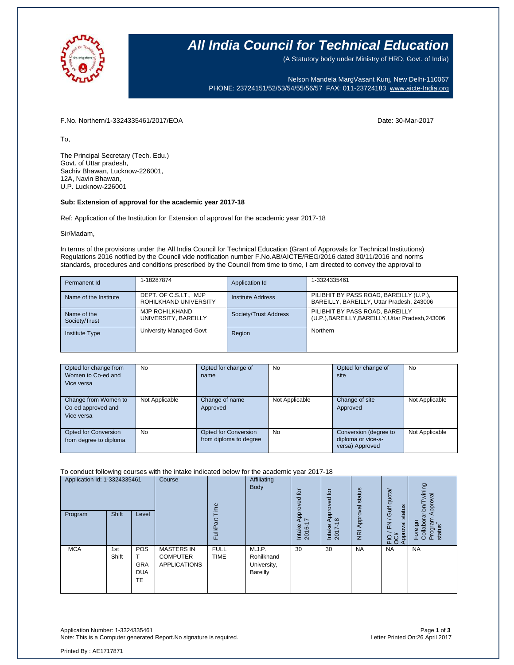

(A Statutory body under Ministry of HRD, Govt. of India)

Nelson Mandela MargVasant Kunj, New Delhi-110067 PHONE: 23724151/52/53/54/55/56/57 FAX: 011-23724183 www.aicte-India.org

F.No. Northern/1-3324335461/2017/EOA Date: 30-Mar-2017

To,

The Principal Secretary (Tech. Edu.) Govt. of Uttar pradesh, Sachiv Bhawan, Lucknow-226001, 12A, Navin Bhawan, U.P. Lucknow-226001

## **Sub: Extension of approval for the academic year 2017-18**

Ref: Application of the Institution for Extension of approval for the academic year 2017-18

#### Sir/Madam,

In terms of the provisions under the All India Council for Technical Education (Grant of Approvals for Technical Institutions) Regulations 2016 notified by the Council vide notification number F.No.AB/AICTE/REG/2016 dated 30/11/2016 and norms standards, procedures and conditions prescribed by the Council from time to time, I am directed to convey the approval to

| Permanent Id                 | 1-18287874                                      | Application Id        | 1-3324335461                                                                         |
|------------------------------|-------------------------------------------------|-----------------------|--------------------------------------------------------------------------------------|
| Name of the Institute        | DEPT. OF C.S.I.T., MJP<br>ROHILKHAND UNIVERSITY | Institute Address     | PILIBHIT BY PASS ROAD, BAREILLY (U.P.),<br>BAREILLY, BAREILLY, Uttar Pradesh, 243006 |
| Name of the<br>Society/Trust | MJP ROHILKHAND<br>UNIVERSITY, BAREILLY          | Society/Trust Address | PILIBHIT BY PASS ROAD, BAREILLY<br>(U.P.), BAREILLY, BAREILLY, Uttar Pradesh, 243006 |
| <b>Institute Type</b>        | University Managed-Govt                         | Region                | Northern                                                                             |

| Opted for change from<br>Women to Co-ed and<br>Vice versa | <b>No</b>      | Opted for change of<br>name                           | No             | Opted for change of<br>site                                    | No             |
|-----------------------------------------------------------|----------------|-------------------------------------------------------|----------------|----------------------------------------------------------------|----------------|
| Change from Women to<br>Co-ed approved and<br>Vice versa  | Not Applicable | Change of name<br>Approved                            | Not Applicable | Change of site<br>Approved                                     | Not Applicable |
| <b>Opted for Conversion</b><br>from degree to diploma     | <b>No</b>      | <b>Opted for Conversion</b><br>from diploma to degree | <b>No</b>      | Conversion (degree to<br>diploma or vice-a-<br>versa) Approved | Not Applicable |

#### To conduct following courses with the intake indicated below for the academic year 2017-18

| Application Id: 1-3324335461<br>Program | <b>Shift</b> | Level                                 | Course                                                      | Time<br>Full/Part          | Affiliating<br>Body                             | for<br>공<br>Appro <sup>.</sup><br>7<br>Intake<br>2016- | ğ<br>yed<br>ppro<br>$\infty$<br>Intake<br>2017 | Approval status<br>$\overline{g}$ | Gulf quota/<br>status<br>$\overline{\phantom{0}}$<br>$\overline{E}$<br>Approval<br>$\overline{20}$ | wining<br>Approval<br>rarion/T<br>Program<br>Foreign<br>Collabor<br>status |
|-----------------------------------------|--------------|---------------------------------------|-------------------------------------------------------------|----------------------------|-------------------------------------------------|--------------------------------------------------------|------------------------------------------------|-----------------------------------|----------------------------------------------------------------------------------------------------|----------------------------------------------------------------------------|
| <b>MCA</b>                              | 1st<br>Shift | POS<br><b>GRA</b><br><b>DUA</b><br>TE | <b>MASTERS IN</b><br><b>COMPUTER</b><br><b>APPLICATIONS</b> | <b>FULL</b><br><b>TIME</b> | M.J.P.<br>Rohilkhand<br>University,<br>Bareilly | 30                                                     | 30                                             | <b>NA</b>                         | <b>NA</b>                                                                                          | <b>NA</b>                                                                  |

Application Number: 1-3324335461 Page **1** of **3** Note: This is a Computer generated Report. No signature is required.

Printed By : AE1717871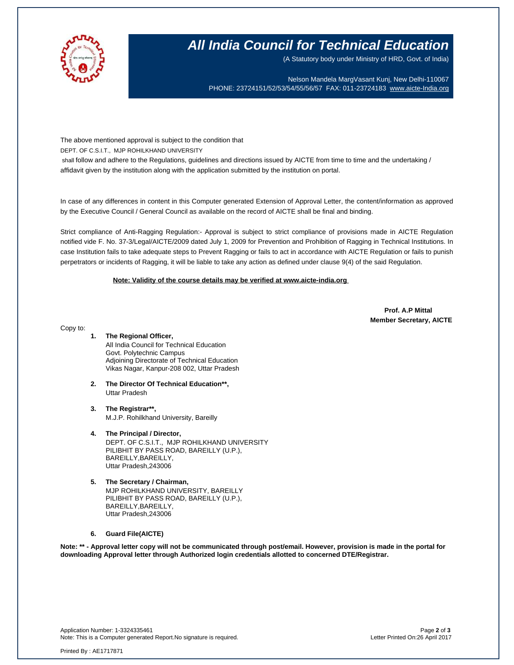

(A Statutory body under Ministry of HRD, Govt. of India)

Nelson Mandela MargVasant Kunj, New Delhi-110067 PHONE: 23724151/52/53/54/55/56/57 FAX: 011-23724183 www.aicte-India.org

The above mentioned approval is subject to the condition that

DEPT. OF C.S.I.T., MJP ROHILKHAND UNIVERSITY

shall follow and adhere to the Regulations, guidelines and directions issued by AICTE from time to time and the undertaking / affidavit given by the institution along with the application submitted by the institution on portal.

In case of any differences in content in this Computer generated Extension of Approval Letter, the content/information as approved by the Executive Council / General Council as available on the record of AICTE shall be final and binding.

Strict compliance of Anti-Ragging Regulation:- Approval is subject to strict compliance of provisions made in AICTE Regulation notified vide F. No. 37-3/Legal/AICTE/2009 dated July 1, 2009 for Prevention and Prohibition of Ragging in Technical Institutions. In case Institution fails to take adequate steps to Prevent Ragging or fails to act in accordance with AICTE Regulation or fails to punish perpetrators or incidents of Ragging, it will be liable to take any action as defined under clause 9(4) of the said Regulation.

## **Note: Validity of the course details may be verified at www.aicte-india.org**

 **Prof. A.P Mittal Member Secretary, AICTE**

Copy to:

- **1. The Regional Officer,** All India Council for Technical Education Govt. Polytechnic Campus Adjoining Directorate of Technical Education Vikas Nagar, Kanpur-208 002, Uttar Pradesh
- **2. The Director Of Technical Education\*\*,** Uttar Pradesh
- **3. The Registrar\*\*,** M.J.P. Rohilkhand University, Bareilly
- **4. The Principal / Director,** DEPT. OF C.S.I.T., MJP ROHILKHAND UNIVERSITY PILIBHIT BY PASS ROAD, BAREILLY (U.P.), BAREILLY,BAREILLY, Uttar Pradesh,243006
- **5. The Secretary / Chairman,** MJP ROHILKHAND UNIVERSITY, BAREILLY PILIBHIT BY PASS ROAD, BAREILLY (U.P.), BAREILLY, BAREILLY, Uttar Pradesh,243006

### **6. Guard File(AICTE)**

**Note: \*\* - Approval letter copy will not be communicated through post/email. However, provision is made in the portal for downloading Approval letter through Authorized login credentials allotted to concerned DTE/Registrar.**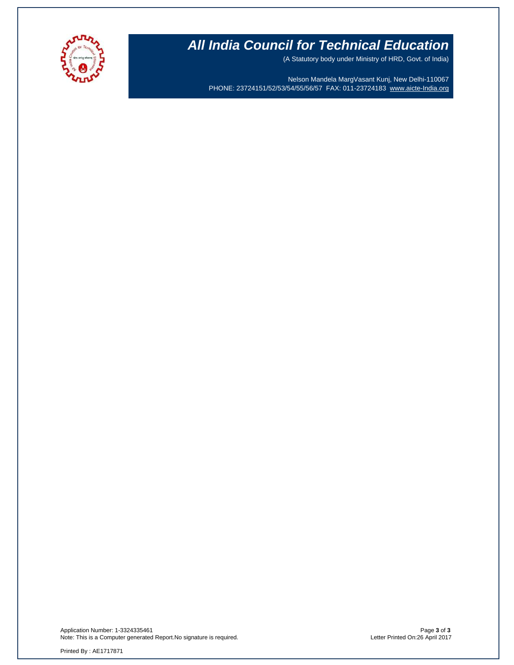

(A Statutory body under Ministry of HRD, Govt. of India)

Nelson Mandela MargVasant Kunj, New Delhi-110067 PHONE: 23724151/52/53/54/55/56/57 FAX: 011-23724183 www.aicte-India.org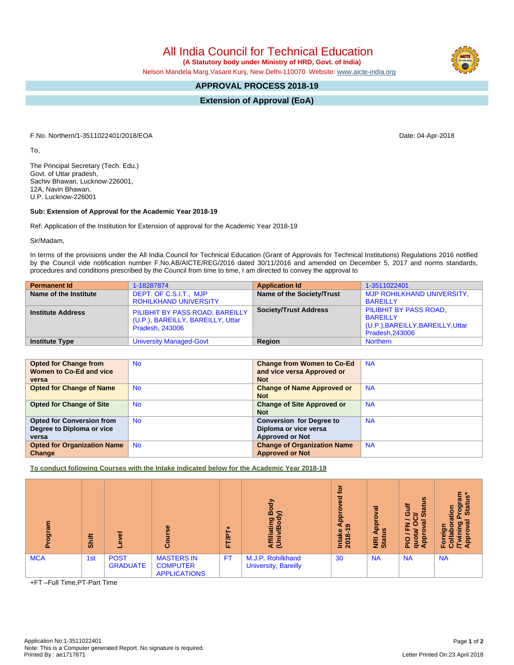Nelson Mandela Marg,Vasant Kunj, New Delhi-110070 Website: www.aicte-india.org

## **APPROVAL PROCESS 2018-19**

**Extension of Approval (EoA)**

F.No. Northern/1-3511022401/2018/EOA Date: 04-Apr-2018

To,

The Principal Secretary (Tech. Edu.) Govt. of Uttar pradesh, Sachiv Bhawan, Lucknow-226001, 12A, Navin Bhawan, U.P. Lucknow-226001

## **Sub: Extension of Approval for the Academic Year 2018-19**

Ref: Application of the Institution for Extension of approval for the Academic Year 2018-19

Sir/Madam,

In terms of the provisions under the All India Council for Technical Education (Grant of Approvals for Technical Institutions) Regulations 2016 notified by the Council vide notification number F.No.AB/AICTE/REG/2016 dated 30/11/2016 and amended on December 5, 2017 and norms standards, procedures and conditions prescribed by the Council from time to time, I am directed to convey the approval to

| <b>Permanent Id</b>      | 1-18287874                                                                              | <b>Application Id</b>        | 1-3511022401                                                                                      |
|--------------------------|-----------------------------------------------------------------------------------------|------------------------------|---------------------------------------------------------------------------------------------------|
| Name of the Institute    | DEPT. OF C.S.I.T., MJP<br><b>ROHILKHAND UNIVERSITY</b>                                  | Name of the Society/Trust    | MJP ROHILKHAND UNIVERSITY,<br><b>BAREILLY</b>                                                     |
| <b>Institute Address</b> | PILIBHIT BY PASS ROAD, BAREILLY<br>(U.P.), BAREILLY, BAREILLY, Uttar<br>Pradesh, 243006 | <b>Society/Trust Address</b> | PILIBHIT BY PASS ROAD,<br><b>BAREILLY</b><br>(U.P.), BAREILLY, BAREILLY, Uttar<br>Pradesh, 243006 |
| <b>Institute Type</b>    | <b>University Managed-Govt</b>                                                          | Region                       | <b>Northern</b>                                                                                   |

| <b>Opted for Change from</b>       | <b>No</b> | <b>Change from Women to Co-Ed</b>  | <b>NA</b> |
|------------------------------------|-----------|------------------------------------|-----------|
| Women to Co-Ed and vice            |           | and vice versa Approved or         |           |
| versa                              |           | <b>Not</b>                         |           |
| <b>Opted for Change of Name</b>    | <b>No</b> | <b>Change of Name Approved or</b>  | <b>NA</b> |
|                                    |           | <b>Not</b>                         |           |
| <b>Opted for Change of Site</b>    | <b>No</b> | <b>Change of Site Approved or</b>  | <b>NA</b> |
|                                    |           | <b>Not</b>                         |           |
| <b>Opted for Conversion from</b>   | <b>No</b> | <b>Conversion for Degree to</b>    | <b>NA</b> |
| Degree to Diploma or vice          |           | Diploma or vice versa              |           |
| versa                              |           | <b>Approved or Not</b>             |           |
| <b>Opted for Organization Name</b> | <b>No</b> | <b>Change of Organization Name</b> | <b>NA</b> |
| Change                             |           | <b>Approved or Not</b>             |           |

**To conduct following Courses with the Intake indicated below for the Academic Year 2018-19**

| ram<br>តូ<br>ō | Shift |                                | $\omega$<br>$\omega$                                        | ٠<br>ĮΡ<br>L. | ð<br>$\bf{m}$<br>≲<br>Affiliating<br>(Univ/Bod <sup>,</sup> | 흐<br>g<br>App<br>ာ<br>Intake<br>2018-1 | σ<br>ą<br>9<br>ď<br><b>NRI</b><br>Stat | $\underline{\omega}$<br>Gulf<br>हि<br>ဖာ<br>ಸ<br>z<br>c<br>щ<br>۰<br>ā<br>윽<br>$\frac{1}{2}$<br>$\sigma$<br>a | ួរ ក្ល<br><u>គូ</u><br>Star<br>Star<br>ation<br>ন্য<br>פ<br>o<br>ō<br>$\frac{5}{6}$<br>윤<br>E |
|----------------|-------|--------------------------------|-------------------------------------------------------------|---------------|-------------------------------------------------------------|----------------------------------------|----------------------------------------|---------------------------------------------------------------------------------------------------------------|-----------------------------------------------------------------------------------------------|
| <b>MCA</b>     | 1st   | <b>POST</b><br><b>GRADUATE</b> | <b>MASTERS IN</b><br><b>COMPUTER</b><br><b>APPLICATIONS</b> | <b>FT</b>     | M.J.P. Rohilkhand<br><b>University, Bareilly</b>            | 30                                     | <b>NA</b>                              | <b>NA</b>                                                                                                     | <b>NA</b>                                                                                     |

+FT –Full Time,PT-Part Time

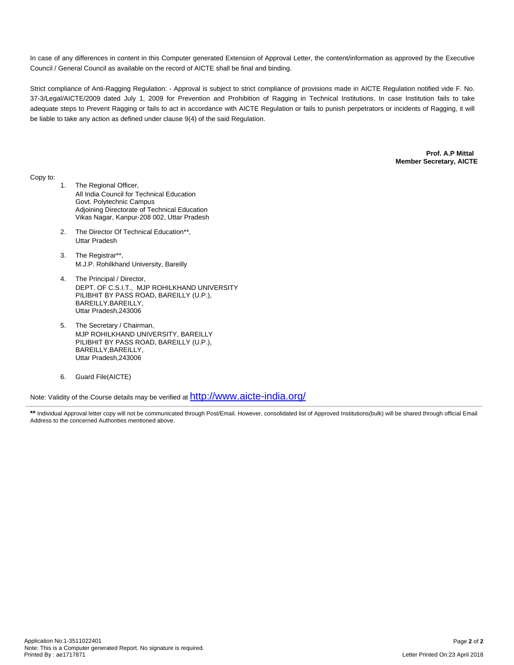In case of any differences in content in this Computer generated Extension of Approval Letter, the content/information as approved by the Executive Council / General Council as available on the record of AICTE shall be final and binding.

Strict compliance of Anti-Ragging Regulation: - Approval is subject to strict compliance of provisions made in AICTE Regulation notified vide F. No. 37-3/Legal/AICTE/2009 dated July 1, 2009 for Prevention and Prohibition of Ragging in Technical Institutions. In case Institution fails to take adequate steps to Prevent Ragging or fails to act in accordance with AICTE Regulation or fails to punish perpetrators or incidents of Ragging, it will be liable to take any action as defined under clause 9(4) of the said Regulation.

> **Prof. A.P Mittal Member Secretary, AICTE**

Copy to:

- 1. The Regional Officer, All India Council for Technical Education Govt. Polytechnic Campus Adjoining Directorate of Technical Education Vikas Nagar, Kanpur-208 002, Uttar Pradesh
- 2. The Director Of Technical Education\*\*, Uttar Pradesh
- 3. The Registrar\*\*, M.J.P. Rohilkhand University, Bareilly
- 4. The Principal / Director, DEPT. OF C.S.I.T., MJP ROHILKHAND UNIVERSITY PILIBHIT BY PASS ROAD, BAREILLY (U.P.), BAREILLY,BAREILLY, Uttar Pradesh,243006
- 5. The Secretary / Chairman, MJP ROHILKHAND UNIVERSITY, BAREILLY PILIBHIT BY PASS ROAD, BAREILLY (U.P.), BAREILLY,BAREILLY, Uttar Pradesh,243006
- 6. Guard File(AICTE)

Note: Validity of the Course details may be verified at http://www.aicte-india.org/

\*\* Individual Approval letter copy will not be communicated through Post/Email. However, consolidated list of Approved Institutions(bulk) will be shared through official Email Address to the concerned Authorities mentioned above.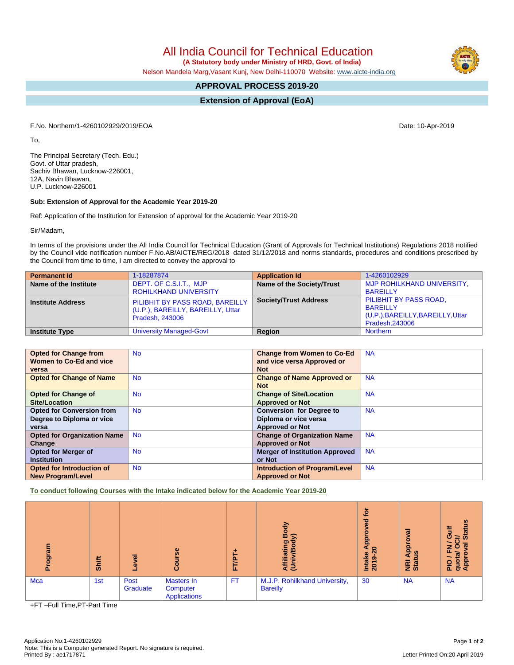**(A Statutory body under Ministry of HRD, Govt. of India)**

Nelson Mandela Marg,Vasant Kunj, New Delhi-110070 Website: www.aicte-india.org

## **APPROVAL PROCESS 2019-20**

**Extension of Approval (EoA)**

F.No. Northern/1-4260102929/2019/EOA Date: 10-Apr-2019

To,

The Principal Secretary (Tech. Edu.) Govt. of Uttar pradesh, Sachiv Bhawan, Lucknow-226001, 12A, Navin Bhawan, U.P. Lucknow-226001

### **Sub: Extension of Approval for the Academic Year 2019-20**

Ref: Application of the Institution for Extension of approval for the Academic Year 2019-20

Sir/Madam,

In terms of the provisions under the All India Council for Technical Education (Grant of Approvals for Technical Institutions) Regulations 2018 notified by the Council vide notification number F.No.AB/AICTE/REG/2018 dated 31/12/2018 and norms standards, procedures and conditions prescribed by the Council from time to time, I am directed to convey the approval to

| <b>Permanent Id</b>      | 1-18287874                                                                                     | <b>Application Id</b>        | 1-4260102929                                                                                      |
|--------------------------|------------------------------------------------------------------------------------------------|------------------------------|---------------------------------------------------------------------------------------------------|
| Name of the Institute    | DEPT. OF C.S.I.T., MJP<br><b>ROHILKHAND UNIVERSITY</b>                                         | Name of the Society/Trust    | MJP ROHILKHAND UNIVERSITY,<br><b>BAREILLY</b>                                                     |
| <b>Institute Address</b> | PILIBHIT BY PASS ROAD, BAREILLY<br>(U.P.), BAREILLY, BAREILLY, Uttar<br><b>Pradesh, 243006</b> | <b>Society/Trust Address</b> | PILIBHIT BY PASS ROAD,<br><b>BAREILLY</b><br>(U.P.), BAREILLY, BAREILLY, Uttar<br>Pradesh, 243006 |
| <b>Institute Type</b>    | <b>University Managed-Govt</b>                                                                 | <b>Region</b>                | <b>Northern</b>                                                                                   |

| <b>Opted for Change from</b>       | <b>No</b> | <b>Change from Women to Co-Ed</b>     | <b>NA</b> |
|------------------------------------|-----------|---------------------------------------|-----------|
| Women to Co-Ed and vice            |           | and vice versa Approved or            |           |
| versa                              |           | <b>Not</b>                            |           |
| <b>Opted for Change of Name</b>    | <b>No</b> | <b>Change of Name Approved or</b>     | <b>NA</b> |
|                                    |           | <b>Not</b>                            |           |
| <b>Opted for Change of</b>         | <b>No</b> | <b>Change of Site/Location</b>        | <b>NA</b> |
| Site/Location                      |           | <b>Approved or Not</b>                |           |
| <b>Opted for Conversion from</b>   | <b>No</b> | <b>Conversion for Degree to</b>       | <b>NA</b> |
| Degree to Diploma or vice          |           | Diploma or vice versa                 |           |
| versa                              |           | <b>Approved or Not</b>                |           |
| <b>Opted for Organization Name</b> | <b>No</b> | <b>Change of Organization Name</b>    | <b>NA</b> |
| Change                             |           | <b>Approved or Not</b>                |           |
| <b>Opted for Merger of</b>         | <b>No</b> | <b>Merger of Institution Approved</b> | <b>NA</b> |
| <b>Institution</b>                 |           | or Not                                |           |
| Opted for Introduction of          | <b>No</b> | <b>Introduction of Program/Level</b>  | <b>NA</b> |
| <b>New Program/Level</b>           |           | <b>Approved or Not</b>                |           |

**To conduct following Courses with the Intake indicated below for the Academic Year 2019-20**

| ā,  | Shift | g<br>$\bullet$   | rse<br>Ξ<br>ဒ္ပြ                              | FT/P      | ਨੇ<br>മ<br>ත<br>iatil<br>m<br>そう                 | ٠ŏ<br>್ಠಾ<br>윤<br>⋖ ⋼<br>$\alpha$<br>Intake<br>2019-2 | <u>त्व</u><br>ē<br>ād<br>A<br>$\frac{5}{2}$<br><b>E</b> at | <b>Status</b><br>O<br>≃<br>œ<br>z<br>O<br>ш<br>$\mathbf{E}$<br>quota<br>Appr<br>$\circ$<br>Ξ. |
|-----|-------|------------------|-----------------------------------------------|-----------|--------------------------------------------------|-------------------------------------------------------|------------------------------------------------------------|-----------------------------------------------------------------------------------------------|
| Mca | 1st   | Post<br>Graduate | <b>Masters In</b><br>Computer<br>Applications | <b>FT</b> | M.J.P. Rohilkhand University,<br><b>Bareilly</b> | 30                                                    | <b>NA</b>                                                  | <b>NA</b>                                                                                     |

+FT –Full Time,PT-Part Time

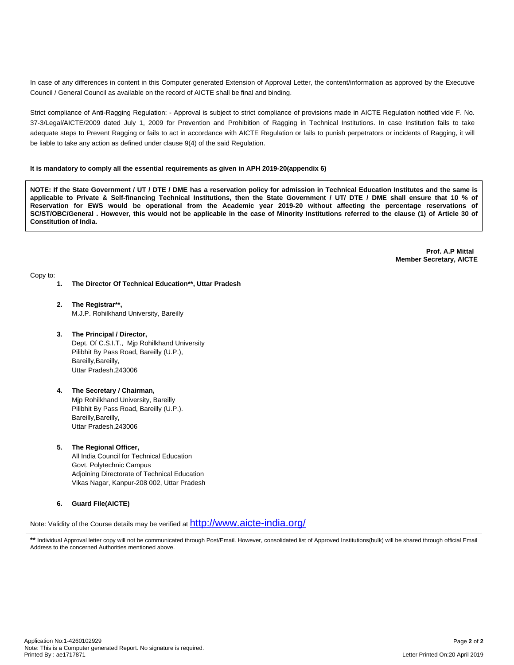In case of any differences in content in this Computer generated Extension of Approval Letter, the content/information as approved by the Executive Council / General Council as available on the record of AICTE shall be final and binding.

Strict compliance of Anti-Ragging Regulation: - Approval is subject to strict compliance of provisions made in AICTE Regulation notified vide F. No. 37-3/Legal/AICTE/2009 dated July 1, 2009 for Prevention and Prohibition of Ragging in Technical Institutions. In case Institution fails to take adequate steps to Prevent Ragging or fails to act in accordance with AICTE Regulation or fails to punish perpetrators or incidents of Ragging, it will be liable to take any action as defined under clause 9(4) of the said Regulation.

### **It is mandatory to comply all the essential requirements as given in APH 2019-20(appendix 6)**

NOTE: If the State Government / UT / DTE / DME has a reservation policy for admission in Technical Education Institutes and the same is applicable to Private & Self-financing Technical Institutions, then the State Government / UT/ DTE / DME shall ensure that 10 % of Reservation for EWS would be operational from the Academic year 2019-20 without affecting the percentage reservations of SC/ST/OBC/General . However, this would not be applicable in the case of Minority Institutions referred to the clause (1) of Article 30 of **Constitution of India.**

> **Prof. A.P Mittal Member Secretary, AICTE**

Copy to:

- **1. The Director Of Technical Education\*\*, Uttar Pradesh**
- **2. The Registrar\*\*,** M.J.P. Rohilkhand University, Bareilly
- **3. The Principal / Director,** Dept. Of C.S.I.T., Mjp Rohilkhand University Pilibhit By Pass Road, Bareilly (U.P.), Bareilly,Bareilly, Uttar Pradesh,243006
- **4. The Secretary / Chairman,** Mjp Rohilkhand University, Bareilly Pilibhit By Pass Road, Bareilly (U.P.). Bareilly, Bareilly, Uttar Pradesh,243006
- **5. The Regional Officer,** All India Council for Technical Education Govt. Polytechnic Campus Adjoining Directorate of Technical Education Vikas Nagar, Kanpur-208 002, Uttar Pradesh
- **6. Guard File(AICTE)**

Note: Validity of the Course details may be verified at http://www.aicte-india.org/

**<sup>\*\*</sup>** Individual Approval letter copy will not be communicated through Post/Email. However, consolidated list of Approved Institutions(bulk) will be shared through official Email Address to the concerned Authorities mentioned above.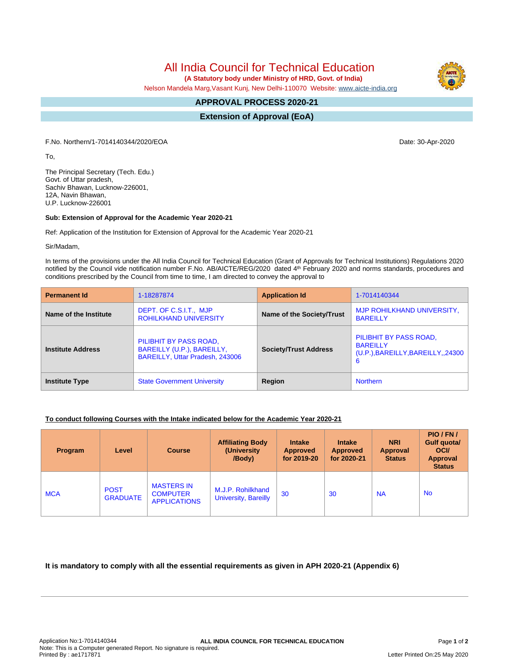**(A Statutory body under Ministry of HRD, Govt. of India)**

Nelson Mandela Marg,Vasant Kunj, New Delhi-110070 Website: www.aicte-india.org

#### **APPROVAL PROCESS 2020-21 -**

**Extension of Approval (EoA)**

F.No. Northern/1-7014140344/2020/EOA Date: 30-Apr-2020

To,

The Principal Secretary (Tech. Edu.) Govt. of Uttar pradesh, Sachiv Bhawan, Lucknow-226001, 12A, Navin Bhawan, U.P. Lucknow-226001

## **Sub: Extension of Approval for the Academic Year 2020-21**

Ref: Application of the Institution for Extension of Approval for the Academic Year 2020-21

Sir/Madam,

In terms of the provisions under the All India Council for Technical Education (Grant of Approvals for Technical Institutions) Regulations 2020 notified by the Council vide notification number F.No. AB/AICTE/REG/2020 dated 4<sup>th</sup> February 2020 and norms standards, procedures and conditions prescribed by the Council from time to time, I am directed to convey the approval to

| <b>Permanent Id</b>      | 1-18287874                                                                              | <b>Application Id</b>        | 1-7014140344                                                                        |
|--------------------------|-----------------------------------------------------------------------------------------|------------------------------|-------------------------------------------------------------------------------------|
| Name of the Institute    | DEPT. OF C.S.I.T., MJP<br><b>ROHILKHAND UNIVERSITY</b>                                  | Name of the Society/Trust    | <b>MJP ROHILKHAND UNIVERSITY,</b><br><b>BAREILLY</b>                                |
| <b>Institute Address</b> | PILIBHIT BY PASS ROAD,<br>BAREILLY (U.P.), BAREILLY,<br>BAREILLY, Uttar Pradesh, 243006 | <b>Society/Trust Address</b> | PILIBHIT BY PASS ROAD,<br><b>BAREILLY</b><br>(U.P.), BAREILLY, BAREILLY, 24300<br>6 |
| <b>Institute Type</b>    | <b>State Government University</b>                                                      | Region                       | <b>Northern</b>                                                                     |

## **To conduct following Courses with the Intake indicated below for the Academic Year 2020-21**

| Program    | Level                          | <b>Course</b>                                               | <b>Affiliating Body</b><br>(University)<br>/Body) | <b>Intake</b><br><b>Approved</b><br>for 2019-20 | <b>Intake</b><br><b>Approved</b><br>for 2020-21 | <b>NRI</b><br>Approval<br><b>Status</b> | PIO/FN/<br>Gulf quota/<br><b>OCI</b><br><b>Approval</b><br><b>Status</b> |
|------------|--------------------------------|-------------------------------------------------------------|---------------------------------------------------|-------------------------------------------------|-------------------------------------------------|-----------------------------------------|--------------------------------------------------------------------------|
| <b>MCA</b> | <b>POST</b><br><b>GRADUATE</b> | <b>MASTERS IN</b><br><b>COMPUTER</b><br><b>APPLICATIONS</b> | M.J.P. Rohilkhand<br>University, Bareilly         | 30                                              | 30                                              | <b>NA</b>                               | <b>No</b>                                                                |

## **It is mandatory to comply with all the essential requirements as given in APH 2020-21 (Appendix 6)**

Letter Printed On:25 May 2020

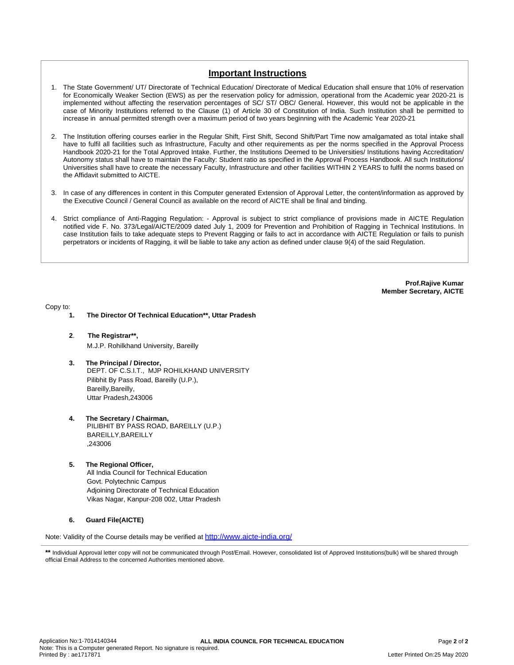## **Important Instructions**

- 1. The State Government/ UT/ Directorate of Technical Education/ Directorate of Medical Education shall ensure that 10% of reservation for Economically Weaker Section (EWS) as per the reservation policy for admission, operational from the Academic year 2020-21 is implemented without affecting the reservation percentages of SC/ ST/ OBC/ General. However, this would not be applicable in the case of Minority Institutions referred to the Clause (1) of Article 30 of Constitution of India. Such Institution shall be permitted to increase in annual permitted strength over a maximum period of two years beginning with the Academic Year 2020-21
- 2. The Institution offering courses earlier in the Regular Shift, First Shift, Second Shift/Part Time now amalgamated as total intake shall have to fulfil all facilities such as Infrastructure, Faculty and other requirements as per the norms specified in the Approval Process Handbook 2020-21 for the Total Approved Intake. Further, the Institutions Deemed to be Universities/ Institutions having Accreditation/ Autonomy status shall have to maintain the Faculty: Student ratio as specified in the Approval Process Handbook. All such Institutions/ Universities shall have to create the necessary Faculty, Infrastructure and other facilities WITHIN 2 YEARS to fulfil the norms based on the Affidavit submitted to AICTE.
- 3. In case of any differences in content in this Computer generated Extension of Approval Letter, the content/information as approved by the Executive Council / General Council as available on the record of AICTE shall be final and binding.
- 4. Strict compliance of Anti-Ragging Regulation: Approval is subject to strict compliance of provisions made in AICTE Regulation notified vide F. No. 373/Legal/AICTE/2009 dated July 1, 2009 for Prevention and Prohibition of Ragging in Technical Institutions. In case Institution fails to take adequate steps to Prevent Ragging or fails to act in accordance with AICTE Regulation or fails to punish perpetrators or incidents of Ragging, it will be liable to take any action as defined under clause 9(4) of the said Regulation.

**Prof.Rajive Kumar Member Secretary, AICTE**

Copy to:

- **1. The Director Of Technical Education\*\*, Uttar Pradesh**
- **2**. **The Registrar\*\*,** M.J.P. Rohilkhand University, Bareilly
- **3. The Principal / Director,** DEPT. OF C.S.I.T., MJP ROHILKHAND UNIVERSITY Pilibhit By Pass Road, Bareilly (U.P.), Bareilly, Bareilly, Uttar Pradesh,243006
- **4. The Secretary / Chairman,** PILIBHIT BY PASS ROAD, BAREILLY (U.P.) BAREILLY,BAREILLY ,243006
- **5. The Regional Officer,** All India Council for Technical Education Govt. Polytechnic Campus Adjoining Directorate of Technical Education Vikas Nagar, Kanpur-208 002, Uttar Pradesh
- **6. Guard File(AICTE)**

Note: Validity of the Course details may be verified at http://www.aicte-india.org/

\*\* Individual Approval letter copy will not be communicated through Post/Email. However, consolidated list of Approved Institutions(bulk) will be shared through official Email Address to the concerned Authorities mentioned above.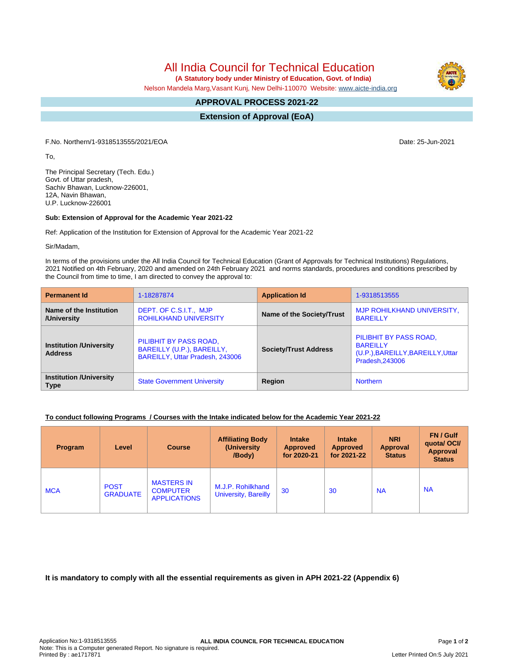**(A Statutory body under Ministry of Education, Govt. of India)**

Nelson Mandela Marg,Vasant Kunj, New Delhi-110070 Website: www.aicte-india.org

#### **APPROVAL PROCESS 2021-22 -**

**Extension of Approval (EoA)**

F.No. Northern/1-9318513555/2021/EOA Date: 25-Jun-2021

To,

The Principal Secretary (Tech. Edu.) Govt. of Uttar pradesh, Sachiv Bhawan, Lucknow-226001, 12A, Navin Bhawan, U.P. Lucknow-226001

## **Sub: Extension of Approval for the Academic Year 2021-22**

Ref: Application of the Institution for Extension of Approval for the Academic Year 2021-22

Sir/Madam,

In terms of the provisions under the All India Council for Technical Education (Grant of Approvals for Technical Institutions) Regulations, 2021 Notified on 4th February, 2020 and amended on 24th February 2021 and norms standards, procedures and conditions prescribed by the Council from time to time, I am directed to convey the approval to:

| <b>Permanent Id</b>                              | 1-18287874                                                                              | <b>Application Id</b>        | 1-9318513555                                                                                      |
|--------------------------------------------------|-----------------------------------------------------------------------------------------|------------------------------|---------------------------------------------------------------------------------------------------|
| Name of the Institution<br>/University           | DEPT. OF C.S.I.T., MJP<br><b>ROHILKHAND UNIVERSITY</b>                                  | Name of the Society/Trust    | <b>MJP ROHILKHAND UNIVERSITY,</b><br><b>BAREILLY</b>                                              |
| <b>Institution /University</b><br><b>Address</b> | PILIBHIT BY PASS ROAD,<br>BAREILLY (U.P.), BAREILLY,<br>BAREILLY, Uttar Pradesh, 243006 | <b>Society/Trust Address</b> | PILIBHIT BY PASS ROAD,<br><b>BARFILLY</b><br>(U.P.), BAREILLY, BAREILLY, Uttar<br>Pradesh, 243006 |
| <b>Institution /University</b><br><b>Type</b>    | <b>State Government University</b>                                                      | <b>Region</b>                | <b>Northern</b>                                                                                   |

## **To conduct following Programs / Courses with the Intake indicated below for the Academic Year 2021-22**

| Program    | Level                          | <b>Course</b>                                               | <b>Affiliating Body</b><br>(University)<br>/Body) | <b>Intake</b><br><b>Approved</b><br>for 2020-21 | <b>Intake</b><br><b>Approved</b><br>for 2021-22 | <b>NRI</b><br>Approval<br><b>Status</b> | FN / Gulf<br>quotal OCI/<br>Approval<br><b>Status</b> |
|------------|--------------------------------|-------------------------------------------------------------|---------------------------------------------------|-------------------------------------------------|-------------------------------------------------|-----------------------------------------|-------------------------------------------------------|
| <b>MCA</b> | <b>POST</b><br><b>GRADUATE</b> | <b>MASTERS IN</b><br><b>COMPUTER</b><br><b>APPLICATIONS</b> | M.J.P. Rohilkhand<br><b>University, Bareilly</b>  | 30                                              | 30                                              | <b>NA</b>                               | <b>NA</b>                                             |

**It is mandatory to comply with all the essential requirements as given in APH 2021-22 (Appendix 6)**